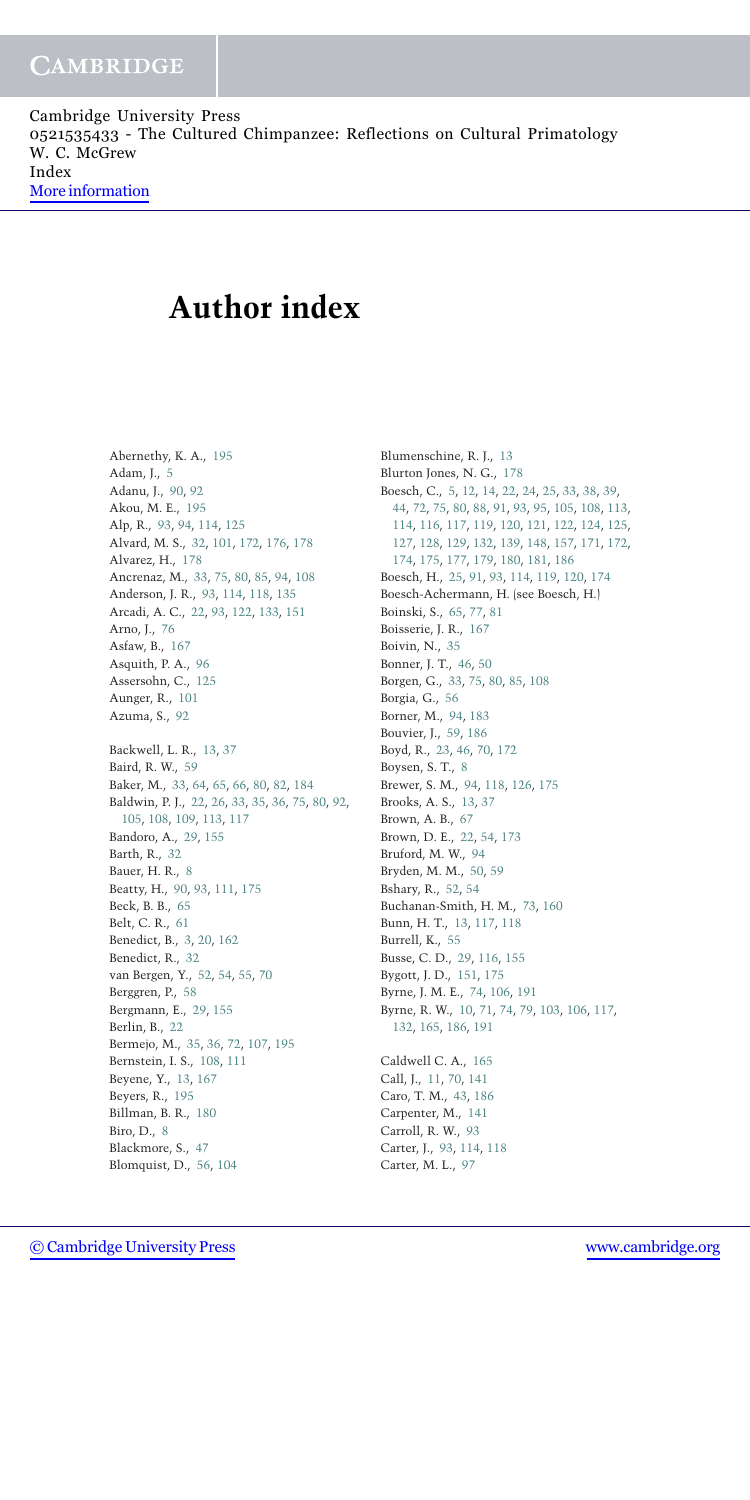# **Author index**

Abernethy, K. A., 195 Adam, J., 5 Adanu, J., 90, 92 Akou, M. E., 195 Alp, R., 93, 94, 114, 125 Alvard, M. S., 32, 101, 172, 176, 178 Alvarez, H., 178 Ancrenaz, M., 33, 75, 80, 85, 94, 108 Anderson, J. R., 93, 114, 118, 135 Arcadi, A. C., 22, 93, 122, 133, 151 Arno, J., 76 Asfaw, B., 167 Asquith, P. A., 96 Assersohn, C., 125 Aunger, R., 101 Azuma, S., 92 Backwell, L. R., 13, 37 Baird, R. W., 59 Baker, M., 33, 64, 65, 66, 80, 82, 184 Baldwin, P. J., 22, 26, 33, 35, 36, 75, 80, 92, 105, 108, 109, 113, 117 Bandoro, A., 29, 155 Barth, R., 32 Bauer, H. R., 8 Beatty, H., 90, 93, 111, 175 Beck, B. B., 65 Belt, C. R., 61 Benedict, B., 3, 20, 162 Benedict, R., 32 van Bergen, Y., 52, 54, 55, 70 Berggren, P., 58 Bergmann, E., 29, 155 Berlin, B., 22 Bermejo, M., 35, 36, 72, 107, 195 Bernstein, I. S., 108, 111 Beyene, Y., 13, 167 Beyers, R., 195 Billman, B. R., 180 Biro, D., 8 Blackmore, S., 47 Blomquist, D., 56, 104

Blumenschine, R. J., 13 Blurton Jones, N. G., 178 Boesch, C., 5, 12, 14, 22, 24, 25, 33, 38, 39, 44, 72, 75, 80, 88, 91, 93, 95, 105, 108, 113, 114, 116, 117, 119, 120, 121, 122, 124, 125, 127, 128, 129, 132, 139, 148, 157, 171, 172, 174, 175, 177, 179, 180, 181, 186 Boesch, H., 25, 91, 93, 114, 119, 120, 174 Boesch-Achermann, H. (see Boesch, H.) Boinski, S., 65, 77, 81 Boisserie, J. R., 167 Boivin, N., 35 Bonner, J. T., 46, 50 Borgen, G., 33, 75, 80, 85, 108 Borgia, G., 56 Borner, M., 94, 183 Bouvier, J., 59, 186 Boyd, R., 23, 46, 70, 172 Boysen, S. T., 8 Brewer, S. M., 94, 118, 126, 175 Brooks, A. S., 13, 37 Brown, A. B., 67 Brown, D. E., 22, 54, 173 Bruford, M. W., 94 Bryden, M. M., 50, 59 Bshary, R., 52, 54 Buchanan-Smith, H. M., 73, 160 Bunn, H. T., 13, 117, 118 Burrell, K., 55 Busse, C. D., 29, 116, 155 Bygott, J. D., 151, 175 Byrne, J. M. E., 74, 106, 191 Byrne, R. W., 10, 71, 74, 79, 103, 106, 117, 132, 165, 186, 191 Caldwell C. A., 165 Call, J., 11, 70, 141 Caro, T. M., 43, 186 Carpenter, M., 141 Carroll, R. W., 93

Carter, J., 93, 114, 118 Carter, M. L., 97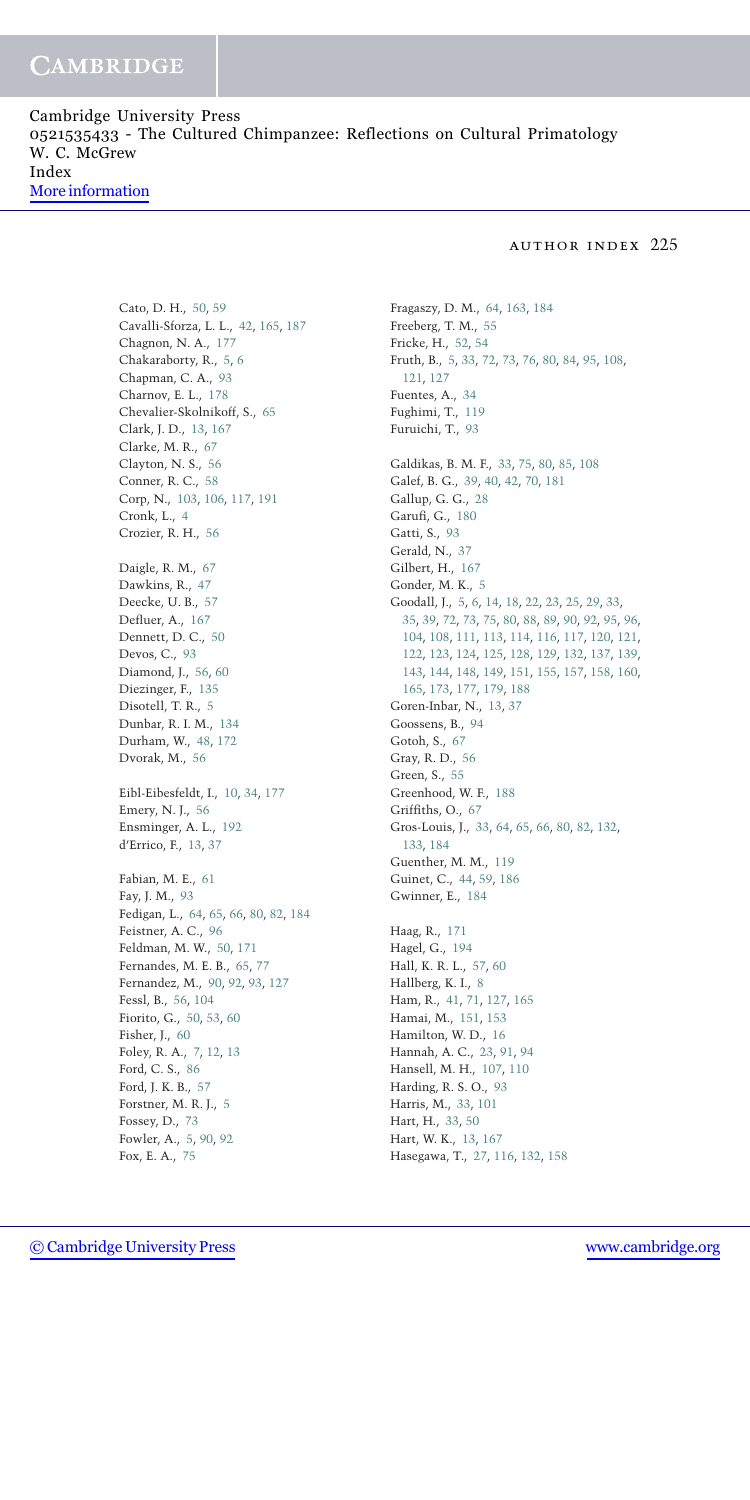Cambridge University Press 0521535433 - The Cultured Chimpanzee: Reflections on Cultural Primatology W. C. McGrew Index [More information](http://www.cambridge.org/0521535433)

#### author index 225

Cato, D. H., 50, 59 Cavalli-Sforza, L. L., 42, 165, 187 Chagnon, N. A., 177 Chakaraborty, R., 5, 6 Chapman, C. A., 93 Charnov, E. L., 178 Chevalier-Skolnikoff, S., 65 Clark, J. D., 13, 167 Clarke, M. R., 67 Clayton, N. S., 56 Conner, R. C., 58 Corp, N., 103, 106, 117, 191 Cronk, L., 4 Crozier, R. H., 56 Daigle, R. M., 67 Dawkins, R., 47 Deecke, U. B., 57 Defluer, A., 167 Dennett, D. C., 50 Devos, C., 93 Diamond, J., 56, 60 Diezinger, F., 135 Disotell, T. R., 5 Dunbar, R. I. M., 134 Durham, W., 48, 172 Dvorak, M., 56 Eibl-Eibesfeldt, I., 10, 34, 177 Emery, N. J., 56 Ensminger, A. L., 192 d'Errico, F., 13, 37 Fabian, M. E., 61 Fay, J. M., 93 Fedigan, L., 64, 65, 66, 80, 82, 184 Feistner, A. C., 96 Feldman, M. W., 50, 171 Fernandes, M. E. B., 65, 77 Fernandez, M., 90, 92, 93, 127 Fessl, B., 56, 104 Fiorito, G., 50, 53, 60 Fisher, J., 60 Foley, R. A., 7, 12, 13 Ford, C. S., 86 Ford, J. K. B., 57 Forstner, M. R. J., 5 Fossey, D., 73 Fowler, A., 5, 90, 92 Fox, E. A., 75

Fragaszy, D. M., 64, 163, 184 Freeberg, T. M., 55 Fricke, H., 52, 54 Fruth, B., 5, 33, 72, 73, 76, 80, 84, 95, 108, 121, 127 Fuentes, A., 34 Fughimi, T., 119 Furuichi, T., 93 Galdikas, B. M. F., 33, 75, 80, 85, 108 Galef, B. G., 39, 40, 42, 70, 181 Gallup, G. G., 28 Garufi, G., 180 Gatti, S., 93 Gerald, N., 37 Gilbert, H., 167 Gonder, M. K., 5 Goodall, J., 5, 6, 14, 18, 22, 23, 25, 29, 33, 35, 39, 72, 73, 75, 80, 88, 89, 90, 92, 95, 96, 104, 108, 111, 113, 114, 116, 117, 120, 121, 122, 123, 124, 125, 128, 129, 132, 137, 139, 143, 144, 148, 149, 151, 155, 157, 158, 160, 165, 173, 177, 179, 188 Goren-Inbar, N., 13, 37 Goossens, B., 94 Gotoh, S., 67 Gray, R. D., 56 Green, S., 55 Greenhood, W. F., 188 Griffiths, O., 67 Gros-Louis, J., 33, 64, 65, 66, 80, 82, 132, 133, 184 Guenther, M. M., 119 Guinet, C., 44, 59, 186 Gwinner, E., 184 Haag, R., 171 Hagel, G., 194 Hall, K. R. L., 57, 60 Hallberg, K. I., 8 Ham, R., 41, 71, 127, 165 Hamai, M., 151, 153 Hamilton, W. D., 16 Hannah, A. C., 23, 91, 94 Hansell, M. H., 107, 110 Harding, R. S. O., 93 Harris, M., 33, 101 Hart, H., 33, 50 Hart, W. K., 13, 167 Hasegawa, T., 27, 116, 132, 158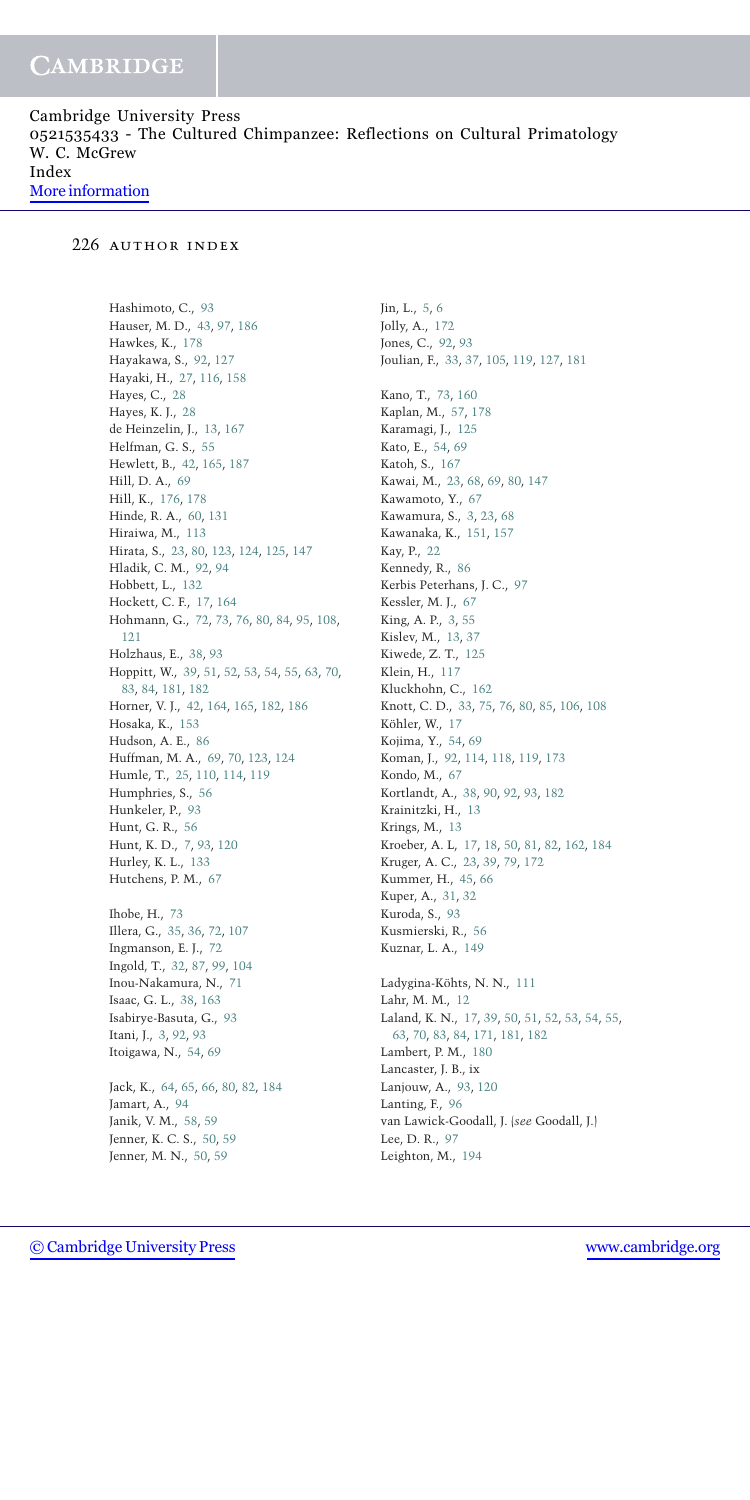### 226 AUTHOR INDEX

Hashimoto, C., 93 Hauser, M. D., 43, 97, 186 Hawkes, K., 178 Hayakawa, S., 92, 127 Hayaki, H., 27, 116, 158 Hayes, C., 28 Hayes, K. J., 28 de Heinzelin, J., 13, 167 Helfman, G. S., 55 Hewlett, B., 42, 165, 187 Hill, D. A., 69 Hill, K., 176, 178 Hinde, R. A., 60, 131 Hiraiwa, M., 113 Hirata, S., 23, 80, 123, 124, 125, 147 Hladik, C. M., 92, 94 Hobbett, L., 132 Hockett, C. F., 17, 164 Hohmann, G., 72, 73, 76, 80, 84, 95, 108, 121 Holzhaus, E., 38, 93 Hoppitt, W., 39, 51, 52, 53, 54, 55, 63, 70, 83, 84, 181, 182 Horner, V. J., 42, 164, 165, 182, 186 Hosaka, K., 153 Hudson, A. E., 86 Huffman, M. A., 69, 70, 123, 124 Humle, T., 25, 110, 114, 119 Humphries, S., 56 Hunkeler, P., 93 Hunt, G. R., 56 Hunt, K. D., 7, 93, 120 Hurley, K. L., 133 Hutchens, P. M., 67 Ihobe, H., 73 Illera, G., 35, 36, 72, 107 Ingmanson, E. J., 72 Ingold, T., 32, 87, 99, 104 Inou-Nakamura, N., 71 Isaac, G. L., 38, 163 Isabirye-Basuta, G., 93 Itani, J., 3, 92, 93 Itoigawa, N., 54, 69 Jack, K., 64, 65, 66, 80, 82, 184 Jamart, A., 94 Janik, V. M., 58, 59 Jenner, K. C. S., 50, 59 Jenner, M. N., 50, 59

Jin, L., 5, 6 Jolly, A., 172 Jones, C., 92, 93 Joulian, F., 33, 37, 105, 119, 127, 181 Kano, T., 73, 160 Kaplan, M., 57, 178 Karamagi, J., 125 Kato, E., 54, 69 Katoh, S., 167 Kawai, M., 23, 68, 69, 80, 147 Kawamoto, Y., 67 Kawamura, S., 3, 23, 68 Kawanaka, K., 151, 157 Kay, P., 22 Kennedy, R., 86 Kerbis Peterhans, J. C., 97 Kessler, M. J., 67 King, A. P., 3, 55 Kislev, M., 13, 37 Kiwede, Z. T., 125 Klein, H., 117 Kluckhohn, C., 162 Knott, C. D., 33, 75, 76, 80, 85, 106, 108 Köhler, W., 17 Kojima, Y., 54, 69 Koman, J., 92, 114, 118, 119, 173 Kondo, M., 67 Kortlandt, A., 38, 90, 92, 93, 182 Krainitzki, H., 13 Krings, M., 13 Kroeber, A. L, 17, 18, 50, 81, 82, 162, 184 Kruger, A. C., 23, 39, 79, 172 Kummer, H., 45, 66 Kuper, A., 31, 32 Kuroda, S., 93 Kusmierski, R., 56 Kuznar, L. A., 149 Ladygina-Köhts, N. N., 111 Lahr, M. M., 12 Laland, K. N., 17, 39, 50, 51, 52, 53, 54, 55, 63, 70, 83, 84, 171, 181, 182 Lambert, P. M., 180 Lancaster, J. B., ix Lanjouw, A., 93, 120 Lanting, F., 96 van Lawick-Goodall, J. (*see* Goodall, J.)

Lee, D. R., 97 Leighton, M., 194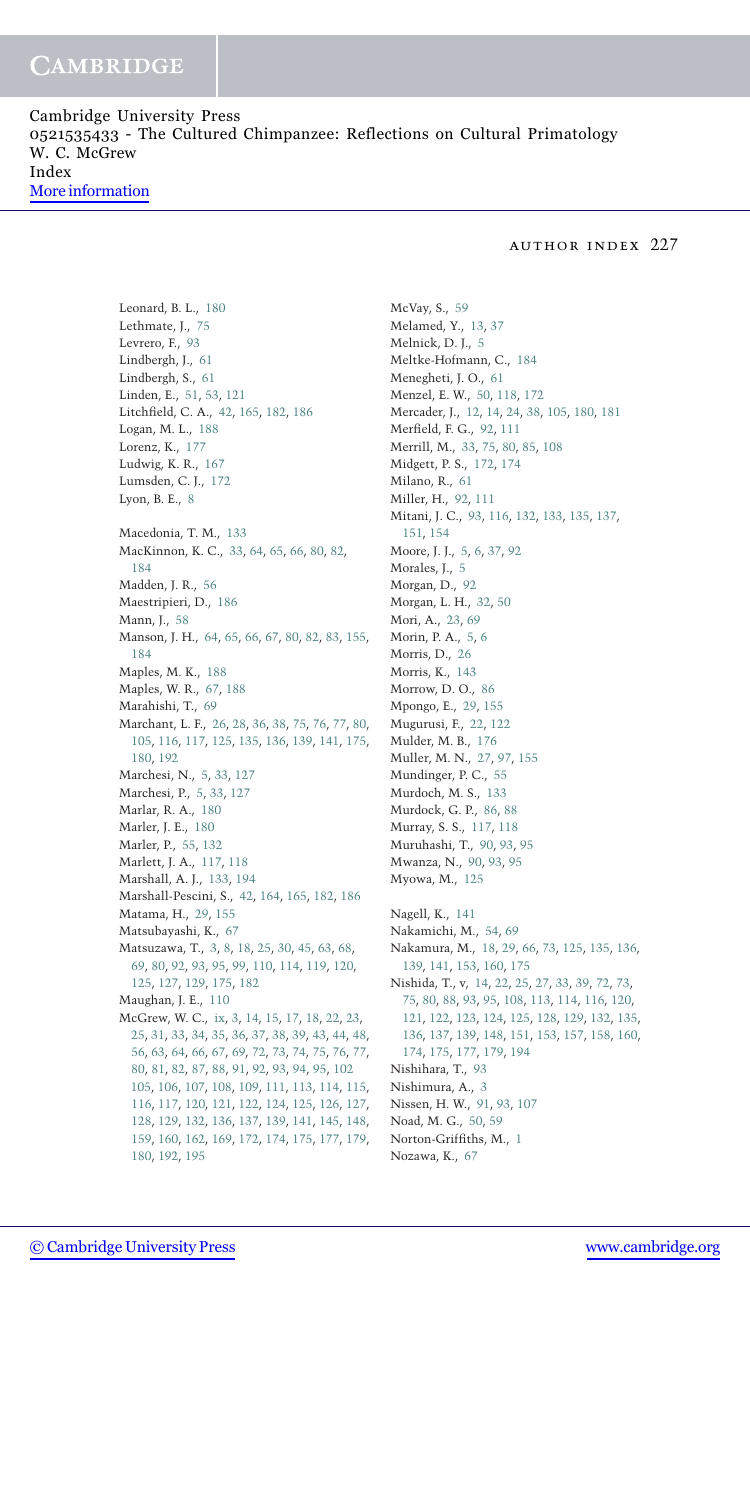Cambridge University Press 0521535433 - The Cultured Chimpanzee: Reflections on Cultural Primatology W. C. McGrew Index [More information](http://www.cambridge.org/0521535433)

#### author index 227

Leonard, B. L., 180 Lethmate, J., 75 Levrero, F., 93 Lindbergh, J., 61 Lindbergh, S., 61 Linden, E., 51, 53, 121 Litchfield, C. A., 42, 165, 182, 186 Logan, M. L., 188 Lorenz, K., 177 Ludwig, K. R., 167 Lumsden, C. J., 172 Lyon, B. E., 8 Macedonia, T. M., 133 MacKinnon, K. C., 33, 64, 65, 66, 80, 82, 184 Madden, J. R., 56 Maestripieri, D., 186 Mann, J., 58 Manson, J. H., 64, 65, 66, 67, 80, 82, 83, 155, 184 Maples, M. K., 188 Maples, W. R., 67, 188 Marahishi, T., 69 Marchant, L. F., 26, 28, 36, 38, 75, 76, 77, 80, 105, 116, 117, 125, 135, 136, 139, 141, 175, 180, 192 Marchesi, N., 5, 33, 127 Marchesi, P., 5, 33, 127 Marlar, R. A., 180 Marler, J. E., 180 Marler, P., 55, 132 Marlett, J. A., 117, 118 Marshall, A. J., 133, 194 Marshall-Pescini, S., 42, 164, 165, 182, 186 Matama, H., 29, 155 Matsubayashi, K., 67 Matsuzawa, T., 3, 8, 18, 25, 30, 45, 63, 68, 69, 80, 92, 93, 95, 99, 110, 114, 119, 120, 125, 127, 129, 175, 182 Maughan, J. E., 110 McGrew, W. C., ix, 3, 14, 15, 17, 18, 22, 23, 25, 31, 33, 34, 35, 36, 37, 38, 39, 43, 44, 48, 56, 63, 64, 66, 67, 69, 72, 73, 74, 75, 76, 77, 80, 81, 82, 87, 88, 91, 92, 93, 94, 95, 102 105, 106, 107, 108, 109, 111, 113, 114, 115, 116, 117, 120, 121, 122, 124, 125, 126, 127, 128, 129, 132, 136, 137, 139, 141, 145, 148, 159, 160, 162, 169, 172, 174, 175, 177, 179, 180, 192, 195

McVay, S., 59 Melamed, Y., 13, 37 Melnick, D. J., 5 Meltke-Hofmann, C., 184 Menegheti, J. O., 61 Menzel, E. W., 50, 118, 172 Mercader, J., 12, 14, 24, 38, 105, 180, 181 Merfield, F. G., 92, 111 Merrill, M., 33, 75, 80, 85, 108 Midgett, P. S., 172, 174 Milano, R., 61 Miller, H., 92, 111 Mitani, J. C., 93, 116, 132, 133, 135, 137, 151, 154 Moore, J. J., 5, 6, 37, 92 Morales, J., 5 Morgan, D., 92 Morgan, L. H., 32, 50 Mori, A., 23, 69 Morin, P. A., 5, 6 Morris, D., 26 Morris, K., 143 Morrow, D. O., 86 Mpongo, E., 29, 155 Mugurusi, F., 22, 122 Mulder, M. B., 176 Muller, M. N., 27, 97, 155 Mundinger, P. C., 55 Murdoch, M. S., 133 Murdock, G. P., 86, 88 Murray, S. S., 117, 118 Muruhashi, T., 90, 93, 95 Mwanza, N., 90, 93, 95 Myowa, M., 125 Nagell, K., 141 Nakamichi, M., 54, 69 Nakamura, M., 18, 29, 66, 73, 125, 135, 136, 139, 141, 153, 160, 175 Nishida, T., v, 14, 22, 25, 27, 33, 39, 72, 73, 75, 80, 88, 93, 95, 108, 113, 114, 116, 120, 121, 122, 123, 124, 125, 128, 129, 132, 135, 136, 137, 139, 148, 151, 153, 157, 158, 160, 174, 175, 177, 179, 194 Nishihara, T., 93 Nishimura, A., 3 Nissen, H. W., 91, 93, 107 Noad, M. G., 50, 59 Norton-Griffiths, M., 1 Nozawa, K., 67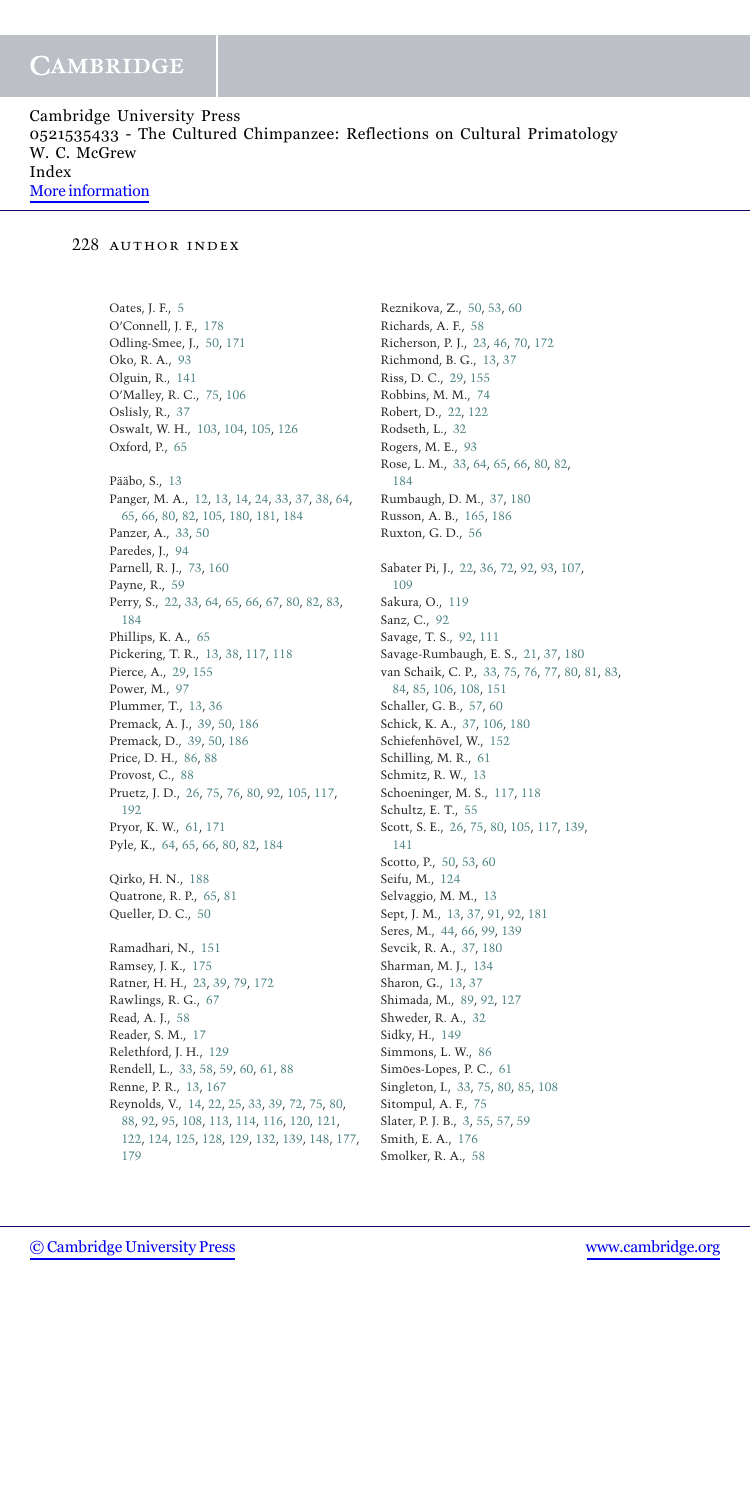### 228 author index

Oates, J. F., 5 O'Connell, J. F., 178 Odling-Smee, J., 50, 171 Oko, R. A., 93 Olguin, R., 141 O'Malley, R. C., 75, 106 Oslisly, R., 37 Oswalt, W. H., 103, 104, 105, 126 Oxford, P., 65 Pääbo, S., 13 Panger, M. A., 12, 13, 14, 24, 33, 37, 38, 64, 65, 66, 80, 82, 105, 180, 181, 184 Panzer, A., 33, 50 Paredes, J., 94 Parnell, R. J., 73, 160 Payne, R., 59 Perry, S., 22, 33, 64, 65, 66, 67, 80, 82, 83, 184 Phillips, K. A., 65 Pickering, T. R., 13, 38, 117, 118 Pierce, A., 29, 155 Power, M., 97 Plummer, T., 13, 36 Premack, A. J., 39, 50, 186 Premack, D., 39, 50, 186 Price, D. H., 86, 88 Provost, C., 88 Pruetz, J. D., 26, 75, 76, 80, 92, 105, 117, 192 Pryor, K. W., 61, 171 Pyle, K., 64, 65, 66, 80, 82, 184 Qirko, H. N., 188 Quatrone, R. P., 65, 81 Queller, D. C., 50 Ramadhari, N., 151 Ramsey, J. K., 175 Ratner, H. H., 23, 39, 79, 172 Rawlings, R. G., 67 Read, A. J., 58 Reader, S. M., 17 Relethford, J. H., 129 Rendell, L., 33, 58, 59, 60, 61, 88 Renne, P. R., 13, 167 Reynolds, V., 14, 22, 25, 33, 39, 72, 75, 80, 88, 92, 95, 108, 113, 114, 116, 120, 121, 122, 124, 125, 128, 129, 132, 139, 148, 177, 179

Reznikova, Z., 50, 53, 60 Richards, A. F., 58 Richerson, P. J., 23, 46, 70, 172 Richmond, B. G., 13, 37 Riss, D. C., 29, 155 Robbins, M. M., 74 Robert, D., 22, 122 Rodseth, L., 32 Rogers, M. E., 93 Rose, L. M., 33, 64, 65, 66, 80, 82, 184 Rumbaugh, D. M., 37, 180 Russon, A. B., 165, 186 Ruxton, G. D., 56 Sabater Pi, J., 22, 36, 72, 92, 93, 107, 109 Sakura, O., 119 Sanz, C., 92 Savage, T. S., 92, 111 Savage-Rumbaugh, E. S., 21, 37, 180 van Schaik, C. P., 33, 75, 76, 77, 80, 81, 83, 84, 85, 106, 108, 151 Schaller, G. B., 57, 60 Schick, K. A., 37, 106, 180 Schiefenhövel, W., 152 Schilling, M. R., 61 Schmitz, R. W., 13 Schoeninger, M. S., 117, 118 Schultz, E. T., 55 Scott, S. E., 26, 75, 80, 105, 117, 139, 141 Scotto, P., 50, 53, 60 Seifu, M., 124 Selvaggio, M. M., 13 Sept, J. M., 13, 37, 91, 92, 181 Seres, M., 44, 66, 99, 139 Sevcik, R. A., 37, 180 Sharman, M. J., 134 Sharon, G., 13, 37 Shimada, M., 89, 92, 127 Shweder, R. A., 32 Sidky, H., 149 Simmons, L. W., 86 Simöes-Lopes, P. C., 61 Singleton, I., 33, 75, 80, 85, 108 Sitompul, A. F., 75 Slater, P. J. B., 3, 55, 57, 59 Smith, E. A., 176 Smolker, R. A., 58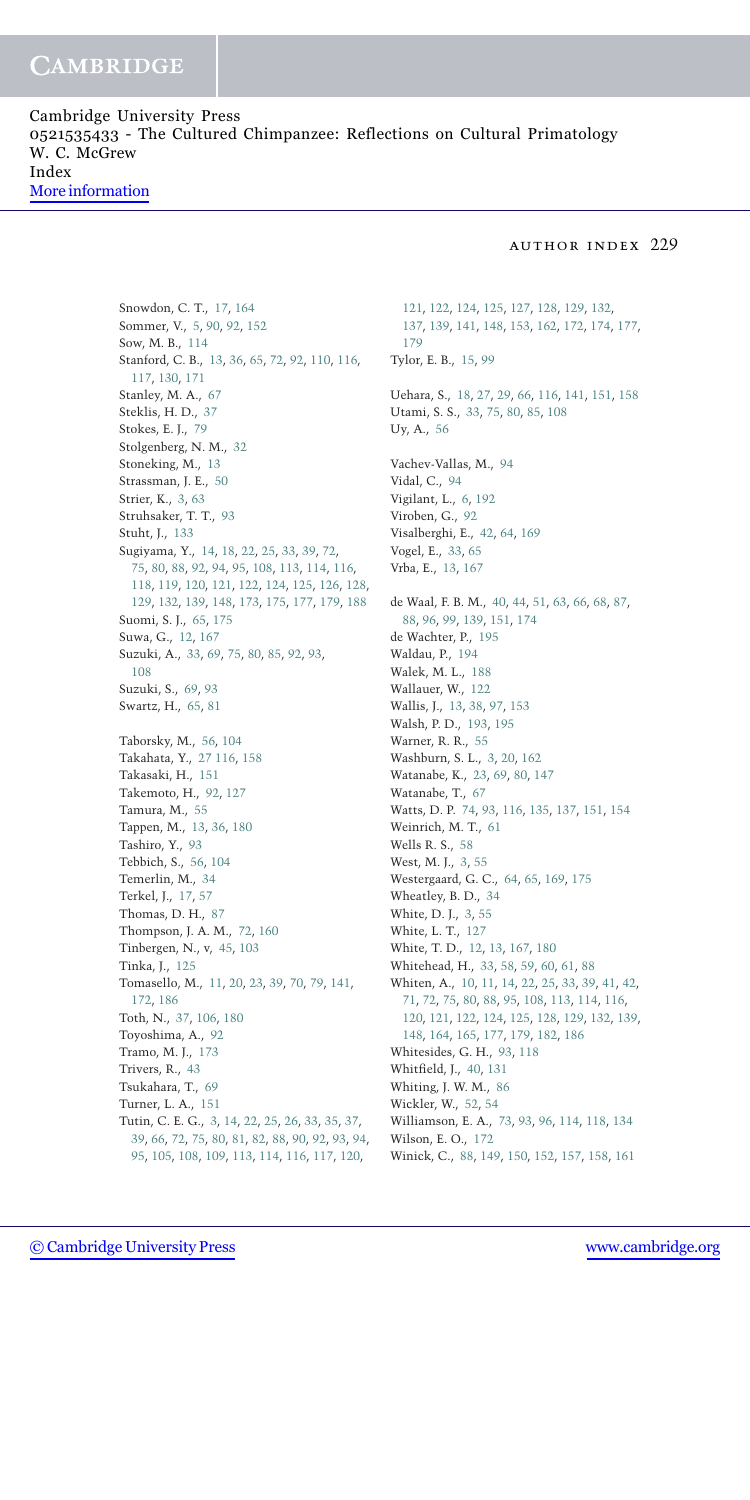Cambridge University Press 0521535433 - The Cultured Chimpanzee: Reflections on Cultural Primatology W. C. McGrew Index [More information](http://www.cambridge.org/0521535433)

#### author index 229

Snowdon, C. T., 17, 164 Sommer, V., 5, 90, 92, 152 Sow, M. B., 114 Stanford, C. B., 13, 36, 65, 72, 92, 110, 116, 117, 130, 171 Stanley, M. A., 67 Steklis, H. D., 37 Stokes, E. J., 79 Stolgenberg, N. M., 32 Stoneking, M., 13 Strassman, J. E., 50 Strier, K., 3, 63 Struhsaker, T. T., 93 Stuht, J., 133 Sugiyama, Y., 14, 18, 22, 25, 33, 39, 72, 75, 80, 88, 92, 94, 95, 108, 113, 114, 116, 118, 119, 120, 121, 122, 124, 125, 126, 128, 129, 132, 139, 148, 173, 175, 177, 179, 188 Suomi, S. J., 65, 175 Suwa, G., 12, 167 Suzuki, A., 33, 69, 75, 80, 85, 92, 93, 108 Suzuki, S., 69, 93 Swartz, H., 65, 81 Taborsky, M., 56, 104 Takahata, Y., 27 116, 158 Takasaki, H., 151 Takemoto, H., 92, 127 Tamura, M., 55 Tappen, M., 13, 36, 180 Tashiro, Y., 93 Tebbich, S., 56, 104 Temerlin, M., 34 Terkel, J., 17, 57 Thomas, D. H., 87 Thompson, J. A. M., 72, 160 Tinbergen, N., v, 45, 103 Tinka, J., 125 Tomasello, M., 11, 20, 23, 39, 70, 79, 141, 172, 186 Toth, N., 37, 106, 180 Toyoshima, A., 92 Tramo, M. J., 173 Trivers, R., 43 Tsukahara, T., 69 Turner, L. A., 151 Tutin, C. E. G., 3, 14, 22, 25, 26, 33, 35, 37, 39, 66, 72, 75, 80, 81, 82, 88, 90, 92, 93, 94, 95, 105, 108, 109, 113, 114, 116, 117, 120,

121, 122, 124, 125, 127, 128, 129, 132, 137, 139, 141, 148, 153, 162, 172, 174, 177, 179 Tylor, E. B., 15, 99 Uehara, S., 18, 27, 29, 66, 116, 141, 151, 158 Utami, S. S., 33, 75, 80, 85, 108 Uy, A., 56 Vachev-Vallas, M., 94 Vidal, C., 94 Vigilant, L., 6, 192 Viroben, G., 92 Visalberghi, E., 42, 64, 169 Vogel, E., 33, 65 Vrba, E., 13, 167 de Waal, F. B. M., 40, 44, 51, 63, 66, 68, 87, 88, 96, 99, 139, 151, 174 de Wachter, P., 195 Waldau, P., 194 Walek, M. L., 188 Wallauer, W., 122 Wallis, J., 13, 38, 97, 153 Walsh, P. D., 193, 195 Warner, R. R., 55 Washburn, S. L., 3, 20, 162 Watanabe, K., 23, 69, 80, 147 Watanabe, T., 67 Watts, D. P. 74, 93, 116, 135, 137, 151, 154 Weinrich, M. T., 61 Wells R. S., 58 West, M. J., 3, 55 Westergaard, G. C., 64, 65, 169, 175 Wheatley, B. D., 34 White, D. J., 3, 55 White, L. T., 127 White, T. D., 12, 13, 167, 180 Whitehead, H., 33, 58, 59, 60, 61, 88 Whiten, A., 10, 11, 14, 22, 25, 33, 39, 41, 42, 71, 72, 75, 80, 88, 95, 108, 113, 114, 116, 120, 121, 122, 124, 125, 128, 129, 132, 139, 148, 164, 165, 177, 179, 182, 186 Whitesides, G. H., 93, 118 Whitfield, J., 40, 131 Whiting, J. W. M., 86 Wickler, W., 52, 54 Williamson, E. A., 73, 93, 96, 114, 118, 134 Wilson, E. O., 172 Winick, C., 88, 149, 150, 152, 157, 158, 161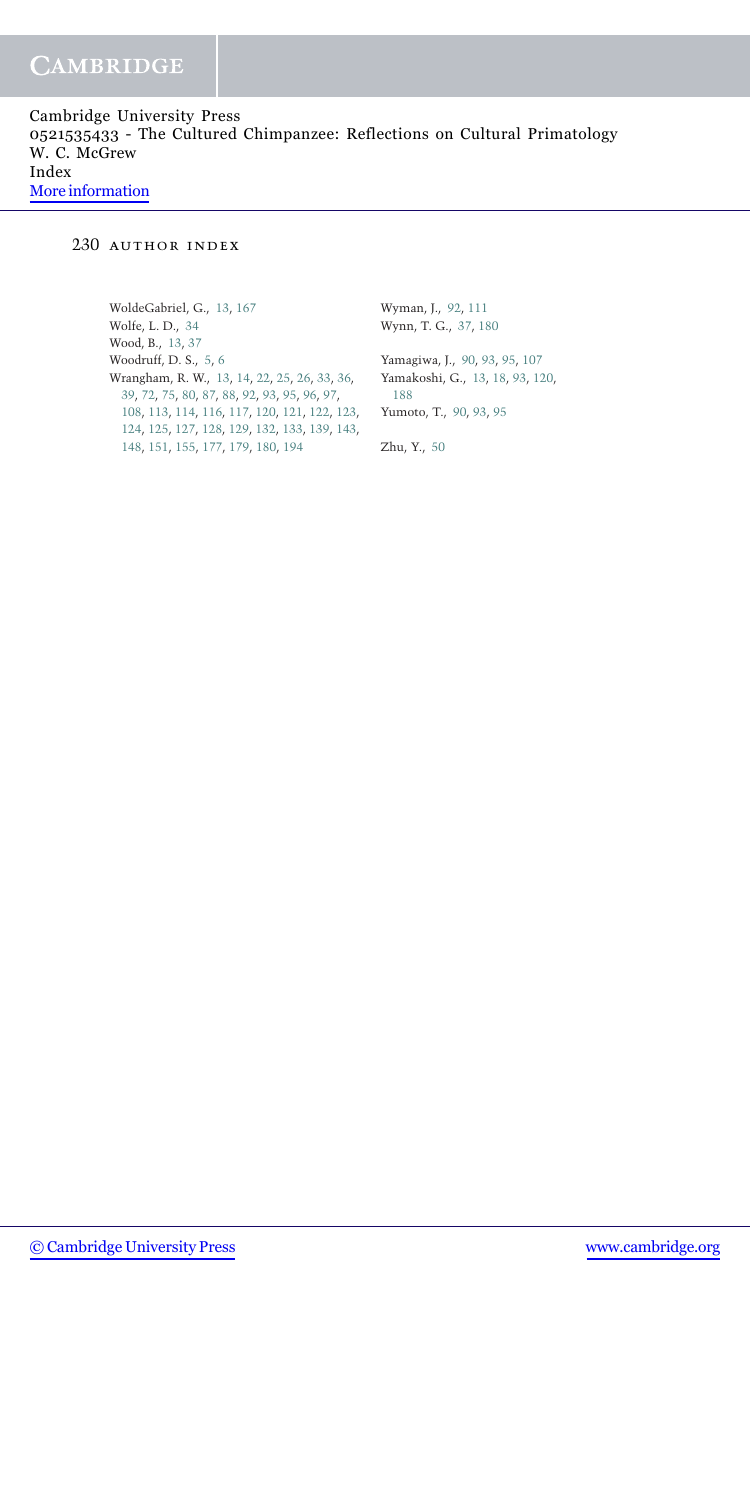### 230 AUTHOR INDEX

WoldeGabriel, G., 13, 167 Wolfe, L. D., 34 Wood, B., 13, 37 Woodruff, D. S., 5, 6 Wrangham, R. W., 13, 14, 22, 25, 26, 33, 36, 39, 72, 75, 80, 87, 88, 92, 93, 95, 96, 97, 108, 113, 114, 116, 117, 120, 121, 122, 123, 124, 125, 127, 128, 129, 132, 133, 139, 143, 148, 151, 155, 177, 179, 180, 194

Wyman, J., 92, 111 Wynn, T. G., 37, 180

Yamagiwa, J., 90, 93, 95, 107 Yamakoshi, G., 13, 18, 93, 120, 188 Yumoto, T., 90, 93, 95

Zhu, Y., 50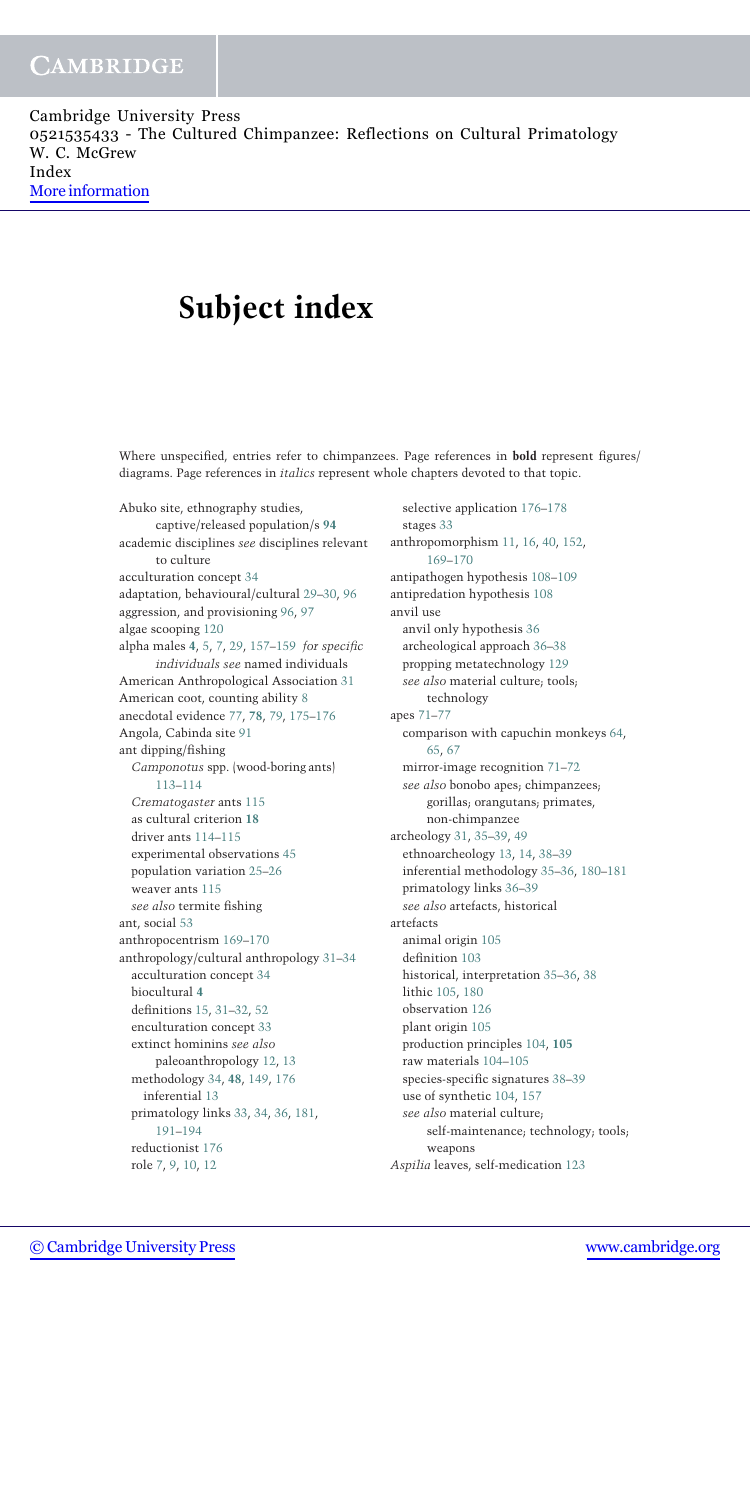# **Subject index**

Where unspecified, entries refer to chimpanzees. Page references in **bold** represent figures/ diagrams. Page references in *italics* represent whole chapters devoted to that topic.

Abuko site, ethnography studies, captive/released population/s **94** academic disciplines *see* disciplines relevant to culture acculturation concept 34 adaptation, behavioural/cultural 29–30, 96 aggression, and provisioning 96, 97 algae scooping 120 alpha males **4**, 5, 7, 29, 157–159 *for specific individuals see* named individuals American Anthropological Association 31 American coot, counting ability 8 anecdotal evidence 77, **78**, 79, 175–176 Angola, Cabinda site 91 ant dipping/fishing *Camponotus* spp. (wood-boring ants) 113–114 *Crematogaster* ants 115 as cultural criterion **18** driver ants 114–115 experimental observations 45 population variation 25–26 weaver ants 115 *see also* termite fishing ant, social 53 anthropocentrism 169–170 anthropology/cultural anthropology 31–34 acculturation concept 34 biocultural **4** definitions 15, 31–32, 52 enculturation concept 33 extinct hominins *see also* paleoanthropology 12, 13 methodology 34, **48**, 149, 176 inferential 13 primatology links 33, 34, 36, 181, 191–194 reductionist 176 role 7, 9, 10, 12

selective application 176–178 stages 33 anthropomorphism 11, 16, 40, 152, 169–170 antipathogen hypothesis 108–109 antipredation hypothesis 108 anvil use anvil only hypothesis 36 archeological approach 36–38 propping metatechnology 129 *see also* material culture; tools; technology apes 71–77 comparison with capuchin monkeys 64, 65, 67 mirror-image recognition 71–72 *see also* bonobo apes; chimpanzees; gorillas; orangutans; primates, non-chimpanzee archeology 31, 35–39, 49 ethnoarcheology 13, 14, 38–39 inferential methodology 35–36, 180–181 primatology links 36–39 *see also* artefacts, historical artefacts animal origin 105 definition 103 historical, interpretation 35–36, 38 lithic 105, 180 observation 126 plant origin 105 production principles 104, **105** raw materials 104–105 species-specific signatures 38–39 use of synthetic 104, 157 *see also* material culture; self-maintenance; technology; tools; weapons *Aspilia* leaves, self-medication 123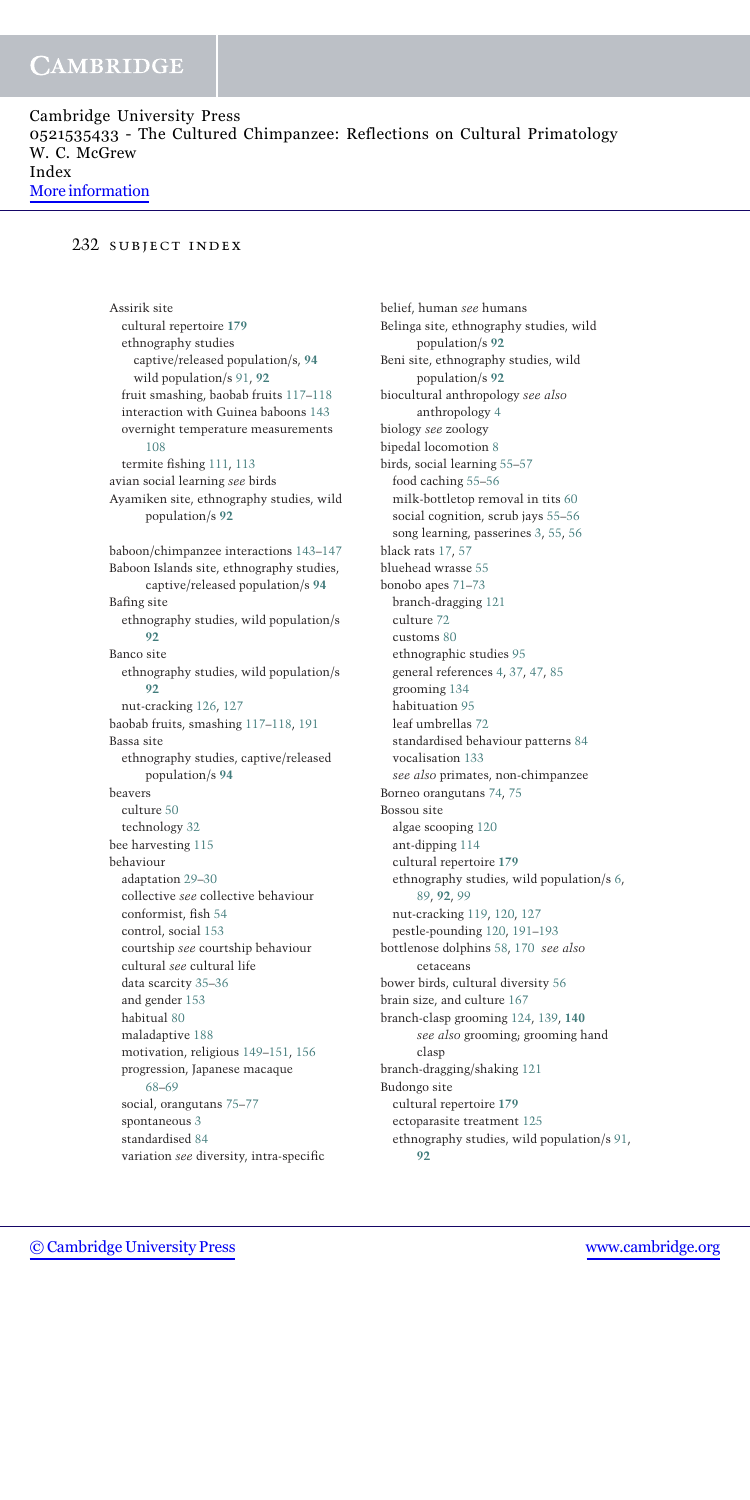#### 232 SUBJECT INDEX

Assirik site cultural repertoire **179** ethnography studies captive/released population/s, **94** wild population/s 91, **92** fruit smashing, baobab fruits 117–118 interaction with Guinea baboons 143 overnight temperature measurements 108 termite fishing 111, 113 avian social learning *see* birds Ayamiken site, ethnography studies, wild population/s **92** baboon/chimpanzee interactions 143–147 Baboon Islands site, ethnography studies, captive/released population/s **94** Bafing site ethnography studies, wild population/s **92** Banco site ethnography studies, wild population/s **92** nut-cracking 126, 127 baobab fruits, smashing 117–118, 191 Bassa site ethnography studies, captive/released population/s **94** beavers culture 50 technology 32 bee harvesting 115 behaviour adaptation 29–30 collective *see* collective behaviour conformist, fish 54 control, social 153 courtship *see* courtship behaviour cultural *see* cultural life data scarcity 35–36 and gender 153 habitual 80 maladaptive 188 motivation, religious 149–151, 156 progression, Japanese macaque 68–69 social, orangutans 75–77 spontaneous 3 standardised 84 variation *see* diversity, intra-specific

belief, human *see* humans Belinga site, ethnography studies, wild population/s **92** Beni site, ethnography studies, wild population/s **92** biocultural anthropology *see also* anthropology 4 biology *see* zoology bipedal locomotion 8 birds, social learning 55–57 food caching 55–56 milk-bottletop removal in tits 60 social cognition, scrub jays 55–56 song learning, passerines 3, 55, 56 black rats 17, 57 bluehead wrasse 55 bonobo apes 71–73 branch-dragging 121 culture 72 customs 80 ethnographic studies 95 general references 4, 37, 47, 85 grooming 134 habituation 95 leaf umbrellas 72 standardised behaviour patterns 84 vocalisation 133 *see also* primates, non-chimpanzee Borneo orangutans 74, 75 Bossou site algae scooping 120 ant-dipping 114 cultural repertoire **179** ethnography studies, wild population/s 6, 89, **92**, 99 nut-cracking 119, 120, 127 pestle-pounding 120, 191–193 bottlenose dolphins 58, 170 *see also* cetaceans bower birds, cultural diversity 56 brain size, and culture 167 branch-clasp grooming 124, 139, **140** *see also* grooming; grooming hand clasp branch-dragging/shaking 121 Budongo site cultural repertoire **179** ectoparasite treatment 125 ethnography studies, wild population/s 91, **92**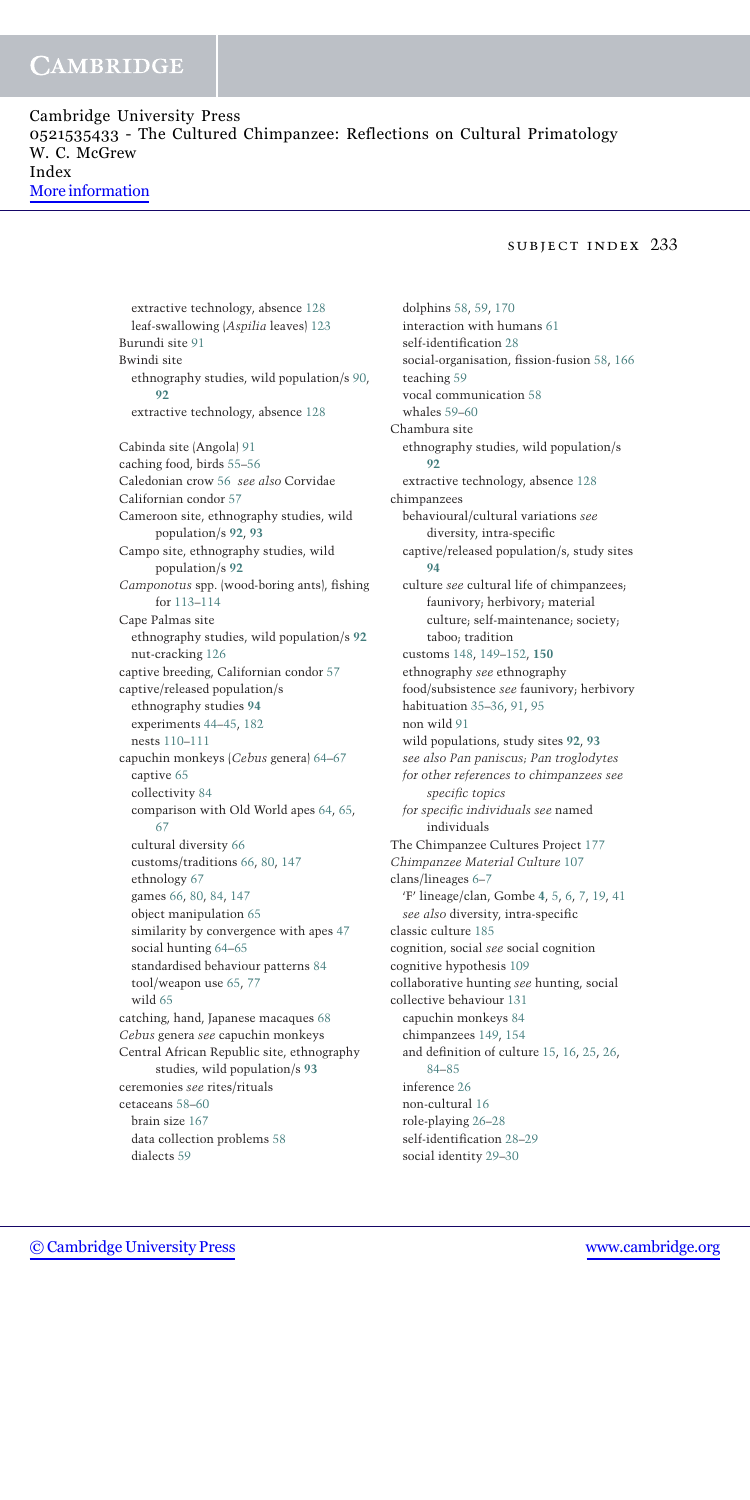Cambridge University Press 0521535433 - The Cultured Chimpanzee: Reflections on Cultural Primatology W. C. McGrew Index [More information](http://www.cambridge.org/0521535433)

#### subject index 233

extractive technology, absence 128 leaf-swallowing (*Aspilia* leaves) 123 Burundi site 91 Bwindi site ethnography studies, wild population/s 90, **92** extractive technology, absence 128 Cabinda site (Angola) 91 caching food, birds 55–56 Caledonian crow 56 *see also* Corvidae Californian condor 57 Cameroon site, ethnography studies, wild population/s **92**, **93** Campo site, ethnography studies, wild population/s **92** *Camponotus* spp. (wood-boring ants), fishing for 113–114 Cape Palmas site ethnography studies, wild population/s **92** nut-cracking 126 captive breeding, Californian condor 57 captive/released population/s ethnography studies **94** experiments 44–45, 182 nests 110–111 capuchin monkeys (*Cebus* genera) 64–67 captive 65 collectivity 84 comparison with Old World apes 64, 65, 67 cultural diversity 66 customs/traditions 66, 80, 147 ethnology 67 games 66, 80, 84, 147 object manipulation 65 similarity by convergence with apes 47 social hunting 64–65 standardised behaviour patterns 84 tool/weapon use 65, 77 wild 65 catching, hand, Japanese macaques 68 *Cebus* genera *see* capuchin monkeys Central African Republic site, ethnography studies, wild population/s **93** ceremonies *see* rites/rituals cetaceans 58–60 brain size 167 data collection problems 58 dialects 59

dolphins 58, 59, 170 interaction with humans 61 self-identification 28 social-organisation, fission-fusion 58, 166 teaching 59 vocal communication 58 whales 59–60 Chambura site ethnography studies, wild population/s **92** extractive technology, absence 128 chimpanzees behavioural/cultural variations *see* diversity, intra-specific captive/released population/s, study sites **94** culture *see* cultural life of chimpanzees; faunivory; herbivory; material culture; self-maintenance; society; taboo; tradition customs 148, 149–152, **150** ethnography *see* ethnography food/subsistence *see* faunivory; herbivory habituation 35–36, 91, 95 non wild 91 wild populations, study sites **92**, **93** *see also Pan paniscus; Pan troglodytes for other references to chimpanzees see specific topics for specific individuals see* named individuals The Chimpanzee Cultures Project 177 *Chimpanzee Material Culture* 107 clans/lineages 6–7 'F' lineage/clan, Gombe **4**, 5, 6, 7, 19, 41 *see also* diversity, intra-specific classic culture 185 cognition, social *see* social cognition cognitive hypothesis 109 collaborative hunting *see* hunting, social collective behaviour 131 capuchin monkeys 84 chimpanzees 149, 154 and definition of culture 15, 16, 25, 26, 84–85 inference 26 non-cultural 16 role-playing 26–28 self-identification 28–29 social identity 29–30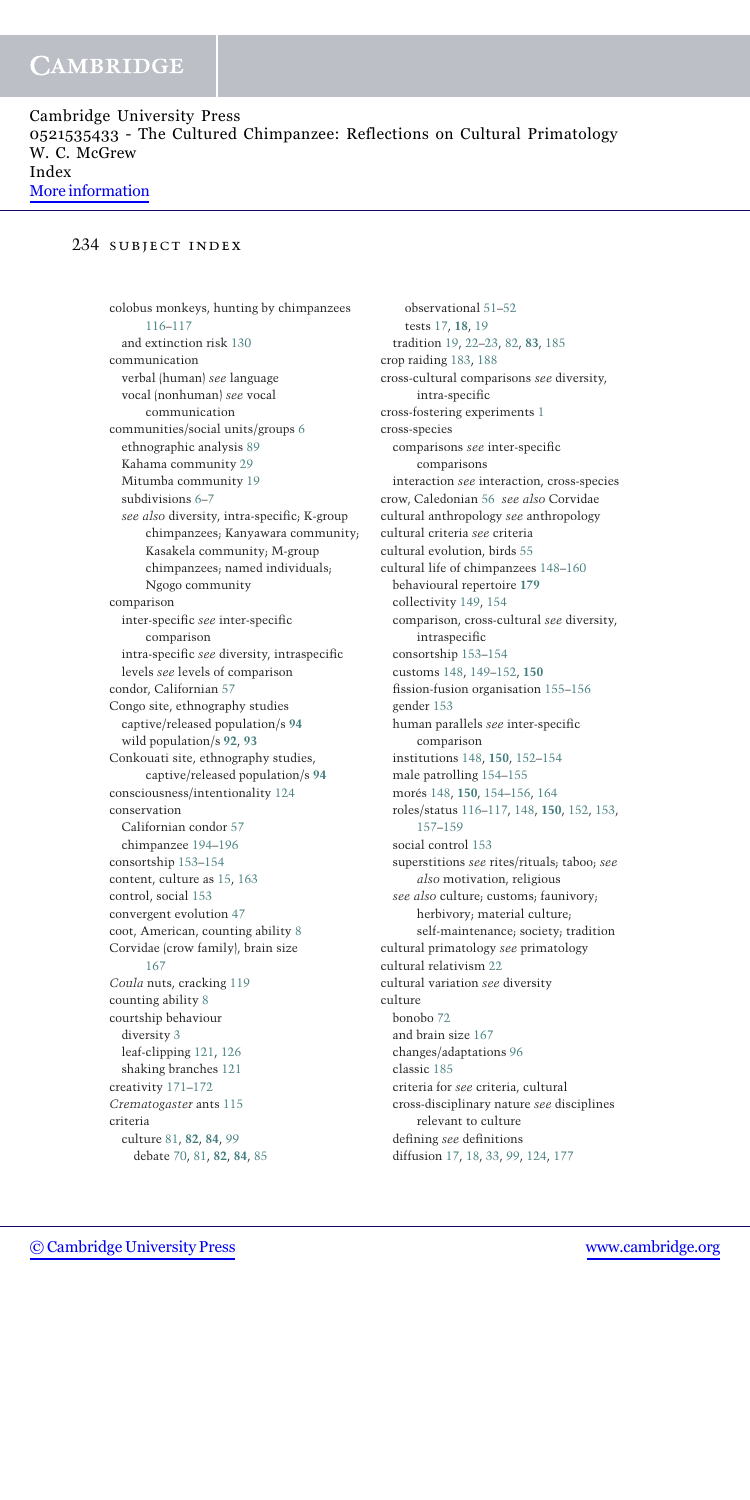#### 234 SUBJECT INDEX

colobus monkeys, hunting by chimpanzees 116–117 and extinction risk 130 communication verbal (human) *see* language vocal (nonhuman) *see* vocal communication communities/social units/groups 6 ethnographic analysis 89 Kahama community 29 Mitumba community 19 subdivisions 6–7 *see also* diversity, intra-specific; K-group chimpanzees; Kanyawara community; Kasakela community; M-group chimpanzees; named individuals; Ngogo community comparison inter-specific *see* inter-specific comparison intra-specific *see* diversity, intraspecific levels *see* levels of comparison condor, Californian 57 Congo site, ethnography studies captive/released population/s **94** wild population/s **92**, **93** Conkouati site, ethnography studies, captive/released population/s **94** consciousness/intentionality 124 conservation Californian condor 57 chimpanzee 194–196 consortship 153–154 content, culture as 15, 163 control, social 153 convergent evolution 47 coot, American, counting ability 8 Corvidae (crow family), brain size 167 *Coula* nuts, cracking 119 counting ability 8 courtship behaviour diversity 3 leaf-clipping 121, 126 shaking branches 121 creativity 171–172 *Crematogaster* ants 115 criteria culture 81, **82**, **84**, 99 debate 70, 81, **82**, **84**, 85

observational 51–52 tests 17, **18**, 19 tradition 19, 22–23, 82, **83**, 185 crop raiding 183, 188 cross-cultural comparisons *see* diversity, intra-specific cross-fostering experiments 1 cross-species comparisons *see* inter-specific comparisons interaction *see* interaction, cross-species crow, Caledonian 56 *see also* Corvidae cultural anthropology *see* anthropology cultural criteria *see* criteria cultural evolution, birds 55 cultural life of chimpanzees 148–160 behavioural repertoire **179** collectivity 149, 154 comparison, cross-cultural *see* diversity, intraspecific consortship 153–154 customs 148, 149–152, **150** fission-fusion organisation 155–156 gender 153 human parallels *see* inter-specific comparison institutions 148, **150**, 152–154 male patrolling 154–155 morés 148, 150, 154-156, 164 roles/status 116–117, 148, **150**, 152, 153, 157–159 social control 153 superstitions *see* rites/rituals; taboo; *see also* motivation, religious *see also* culture; customs; faunivory; herbivory; material culture; self-maintenance; society; tradition cultural primatology *see* primatology cultural relativism 22 cultural variation *see* diversity culture bonobo 72 and brain size 167 changes/adaptations 96 classic 185 criteria for *see* criteria, cultural cross-disciplinary nature *see* disciplines relevant to culture defining *see* definitions diffusion 17, 18, 33, 99, 124, 177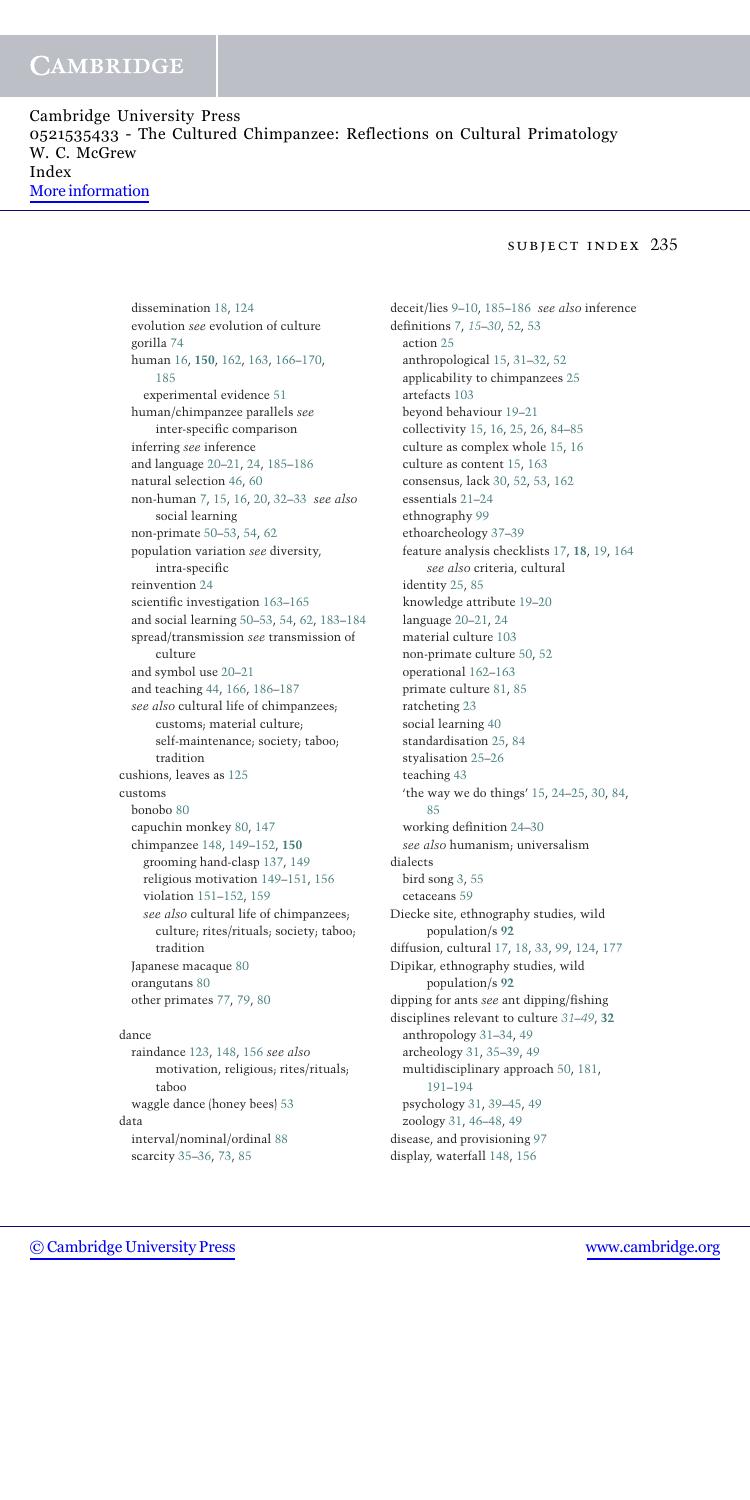Cambridge University Press 0521535433 - The Cultured Chimpanzee: Reflections on Cultural Primatology W. C. McGrew Index [More information](http://www.cambridge.org/0521535433)

#### subject index 235

dissemination 18, 124 evolution *see* evolution of culture gorilla 74 human 16, **150**, 162, 163, 166–170, 185 experimental evidence 51 human/chimpanzee parallels *see* inter-specific comparison inferring *see* inference and language 20–21, 24, 185–186 natural selection 46, 60 non-human 7, 15, 16, 20, 32–33 *see also* social learning non-primate 50–53, 54, 62 population variation *see* diversity, intra-specific reinvention 24 scientific investigation 163–165 and social learning 50–53, 54, 62, 183–184 spread/transmission *see* transmission of culture and symbol use 20–21 and teaching 44, 166, 186–187 *see also* cultural life of chimpanzees; customs; material culture; self-maintenance; society; taboo; tradition cushions, leaves as 125 customs bonobo 80 capuchin monkey 80, 147 chimpanzee 148, 149–152, **150** grooming hand-clasp 137, 149 religious motivation 149–151, 156 violation 151–152, 159 *see also* cultural life of chimpanzees; culture; rites/rituals; society; taboo; tradition Japanese macaque 80 orangutans 80 other primates 77, 79, 80

dance raindance 123, 148, 156 *see also* motivation, religious; rites/rituals; taboo waggle dance (honey bees) 53 data interval/nominal/ordinal 88 scarcity 35–36, 73, 85

deceit/lies 9–10, 185–186 *see also* inference definitions 7, *15–30*, 52, 53 action 25 anthropological 15, 31–32, 52 applicability to chimpanzees 25 artefacts 103 beyond behaviour 19–21 collectivity 15, 16, 25, 26, 84–85 culture as complex whole 15, 16 culture as content 15, 163 consensus, lack 30, 52, 53, 162 essentials 21–24 ethnography 99 ethoarcheology 37–39 feature analysis checklists 17, **18**, 19, 164 *see also* criteria, cultural identity 25, 85 knowledge attribute 19–20 language 20–21, 24 material culture 103 non-primate culture 50, 52 operational 162–163 primate culture 81, 85 ratcheting 23 social learning 40 standardisation 25, 84 styalisation 25–26 teaching 43 'the way we do things' 15, 24–25, 30, 84, 85 working definition 24–30 *see also* humanism; universalism dialects bird song 3, 55 cetaceans 59 Diecke site, ethnography studies, wild population/s **92** diffusion, cultural 17, 18, 33, 99, 124, 177 Dipikar, ethnography studies, wild population/s **92** dipping for ants *see* ant dipping/fishing disciplines relevant to culture *31–49*, **32** anthropology 31–34, 49 archeology 31, 35–39, 49 multidisciplinary approach 50, 181, 191–194 psychology 31, 39–45, 49 zoology 31, 46–48, 49 disease, and provisioning 97 display, waterfall 148, 156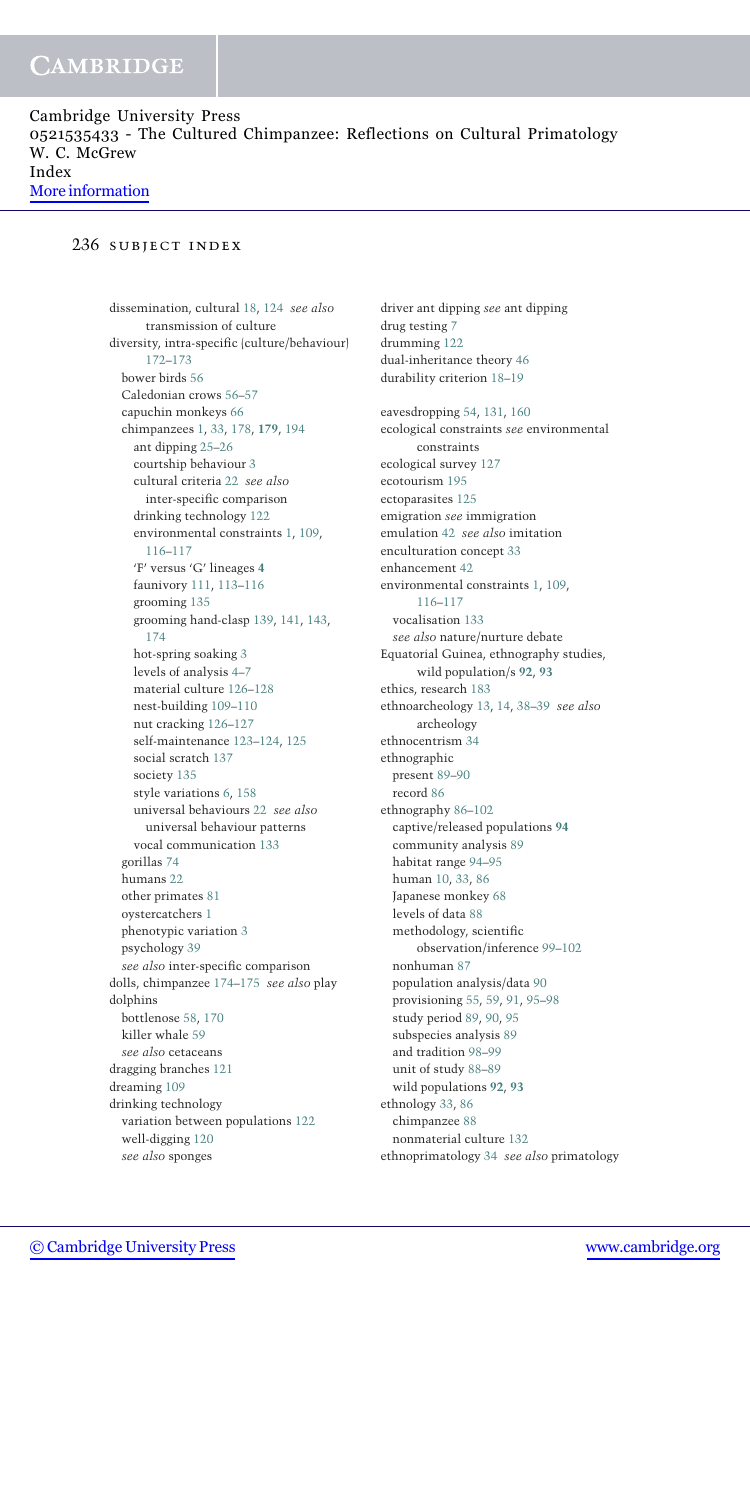#### 236 SUBJECT INDEX

dissemination, cultural 18, 124 *see also* transmission of culture diversity, intra-specific (culture/behaviour) 172–173 bower birds 56 Caledonian crows 56–57 capuchin monkeys 66 chimpanzees 1, 33, 178, **179**, 194 ant dipping 25–26 courtship behaviour 3 cultural criteria 22 *see also* inter-specific comparison drinking technology 122 environmental constraints 1, 109, 116–117 'F' versus 'G' lineages **4** faunivory 111, 113–116 grooming 135 grooming hand-clasp 139, 141, 143, 174 hot-spring soaking 3 levels of analysis 4–7 material culture 126–128 nest-building 109–110 nut cracking 126–127 self-maintenance 123–124, 125 social scratch 137 society 135 style variations 6, 158 universal behaviours 22 *see also* universal behaviour patterns vocal communication 133 gorillas 74 humans 22 other primates 81 oystercatchers 1 phenotypic variation 3 psychology 39 *see also* inter-specific comparison dolls, chimpanzee 174–175 *see also* play dolphins bottlenose 58, 170 killer whale 59 *see also* cetaceans dragging branches 121 dreaming 109 drinking technology variation between populations 122 well-digging 120 *see also* sponges

driver ant dipping *see* ant dipping drug testing 7 drumming 122 dual-inheritance theory 46 durability criterion 18–19 eavesdropping 54, 131, 160 ecological constraints *see* environmental constraints ecological survey 127 ecotourism 195 ectoparasites 125 emigration *see* immigration emulation 42 *see also* imitation enculturation concept 33 enhancement 42 environmental constraints 1, 109, 116–117 vocalisation 133 *see also* nature/nurture debate Equatorial Guinea, ethnography studies, wild population/s **92**, **93**

ethics, research 183 ethnoarcheology 13, 14, 38–39 *see also* archeology ethnocentrism 34 ethnographic present 89–90 record 86 ethnography 86–102 captive/released populations **94** community analysis 89 habitat range 94–95 human 10, 33, 86 Japanese monkey 68 levels of data 88 methodology, scientific observation/inference 99–102 nonhuman 87 population analysis/data 90 provisioning 55, 59, 91, 95–98 study period 89, 90, 95 subspecies analysis 89 and tradition 98–99 unit of study 88–89 wild populations **92**, **93** ethnology 33, 86 chimpanzee 88 nonmaterial culture 132

ethnoprimatology 34 *see also* primatology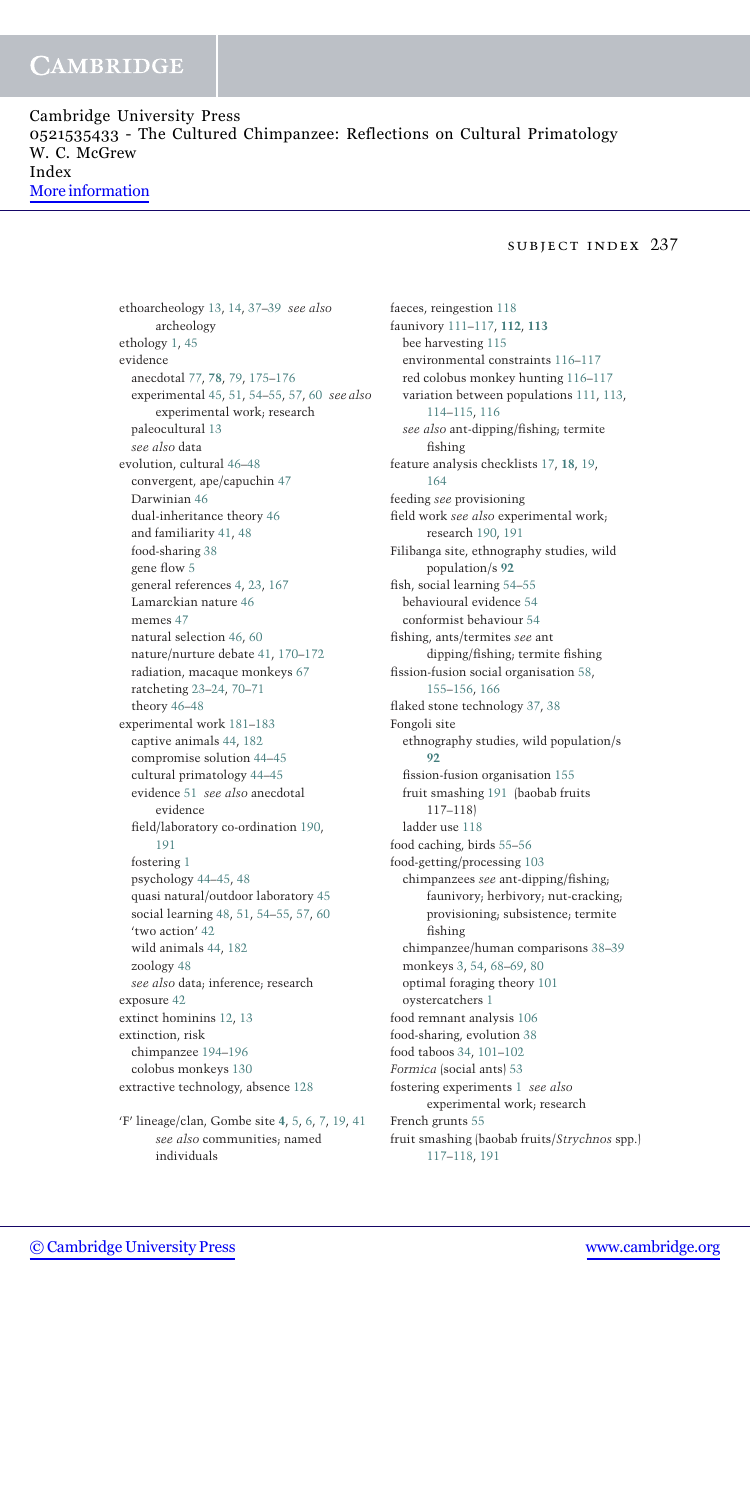Cambridge University Press 0521535433 - The Cultured Chimpanzee: Reflections on Cultural Primatology W. C. McGrew Index [More information](http://www.cambridge.org/0521535433)

#### subject index 237

ethoarcheology 13, 14, 37–39 *see also* archeology ethology 1, 45 evidence anecdotal 77, **78**, 79, 175–176 experimental 45, 51, 54–55, 57, 60 *see also* experimental work; research paleocultural 13 *see also* data evolution, cultural 46–48 convergent, ape/capuchin 47 Darwinian 46 dual-inheritance theory 46 and familiarity 41, 48 food-sharing 38 gene flow 5 general references 4, 23, 167 Lamarckian nature 46 memes 47 natural selection 46, 60 nature/nurture debate 41, 170–172 radiation, macaque monkeys 67 ratcheting 23–24, 70–71 theory 46–48 experimental work 181–183 captive animals 44, 182 compromise solution 44–45 cultural primatology 44–45 evidence 51 *see also* anecdotal evidence field/laboratory co-ordination 190, 191 fostering 1 psychology 44–45, 48 quasi natural/outdoor laboratory 45 social learning 48, 51, 54–55, 57, 60 'two action' 42 wild animals 44, 182 zoology 48 *see also* data; inference; research exposure 42 extinct hominins 12, 13 extinction, risk chimpanzee 194–196 colobus monkeys 130 extractive technology, absence 128

'F' lineage/clan, Gombe site **4**, 5, 6, 7, 19, 41 *see also* communities; named individuals

faeces, reingestion 118 faunivory 111–117, **112**, **113** bee harvesting 115 environmental constraints 116–117 red colobus monkey hunting 116–117 variation between populations 111, 113, 114–115, 116 *see also* ant-dipping/fishing; termite fishing feature analysis checklists 17, **18**, 19, 164 feeding *see* provisioning field work *see also* experimental work; research 190, 191 Filibanga site, ethnography studies, wild population/s **92** fish, social learning 54–55 behavioural evidence 54 conformist behaviour 54 fishing, ants/termites *see* ant dipping/fishing; termite fishing fission-fusion social organisation 58, 155–156, 166 flaked stone technology 37, 38 Fongoli site ethnography studies, wild population/s **92** fission-fusion organisation 155 fruit smashing 191 (baobab fruits 117–118) ladder use 118 food caching, birds 55–56 food-getting/processing 103 chimpanzees *see* ant-dipping/fishing; faunivory; herbivory; nut-cracking; provisioning; subsistence; termite fishing chimpanzee/human comparisons 38–39 monkeys 3, 54, 68–69, 80 optimal foraging theory 101 oystercatchers 1 food remnant analysis 106 food-sharing, evolution 38 food taboos 34, 101–102 *Formica* (social ants) 53 fostering experiments 1 *see also* experimental work; research French grunts 55 fruit smashing (baobab fruits/*Strychnos* spp.) 117–118, 191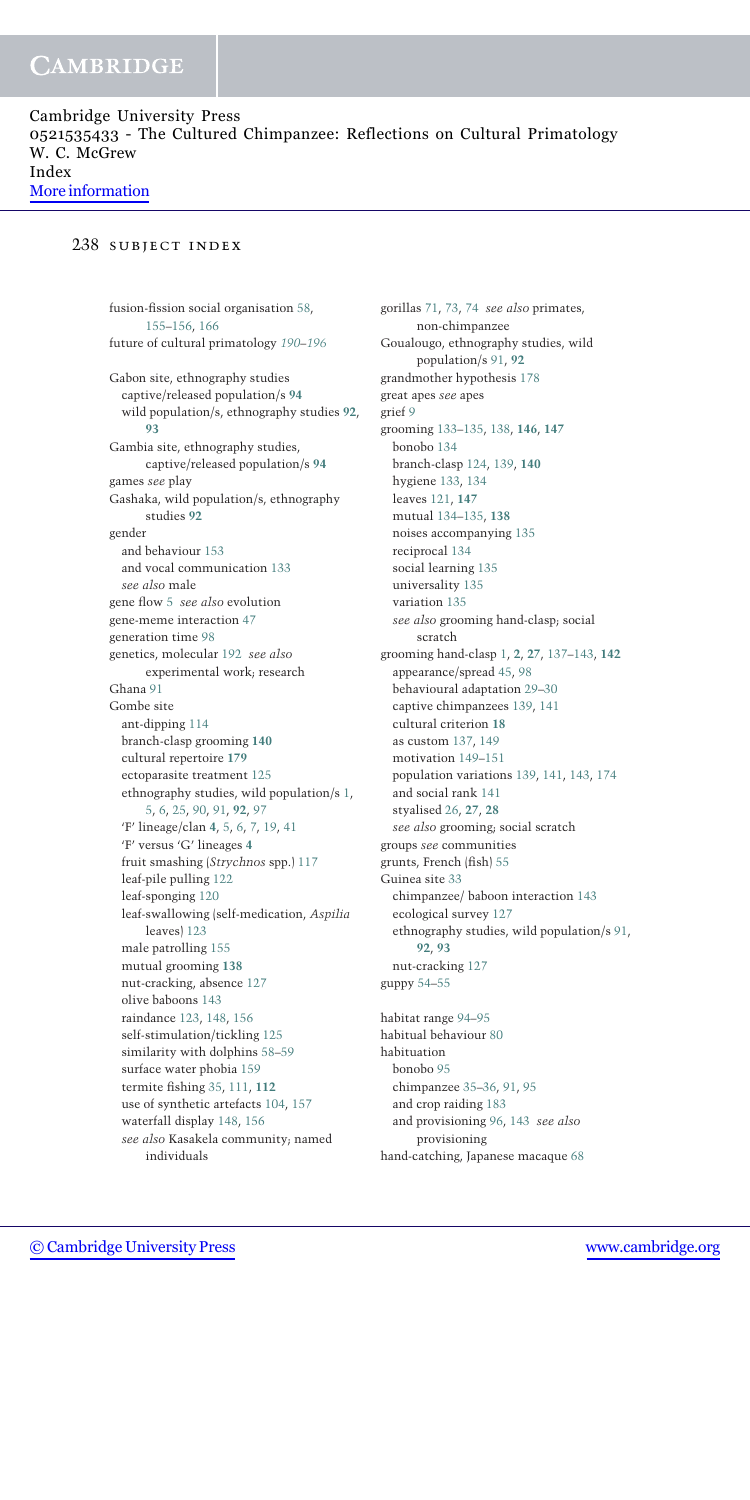#### 238 SUBJECT INDEX

fusion-fission social organisation 58, 155–156, 166 future of cultural primatology *190–196* Gabon site, ethnography studies captive/released population/s **94** wild population/s, ethnography studies **92**, **93** Gambia site, ethnography studies, captive/released population/s **94** games *see* play Gashaka, wild population/s, ethnography studies **92** gender and behaviour 153 and vocal communication 133 *see also* male gene flow 5 *see also* evolution gene-meme interaction 47 generation time 98 genetics, molecular 192 *see also* experimental work; research Ghana 91 Gombe site ant-dipping 114 branch-clasp grooming **140** cultural repertoire **179** ectoparasite treatment 125 ethnography studies, wild population/s 1, 5, 6, 25, 90, 91, **92**, 97 'F' lineage/clan **4**, 5, 6, 7, 19, 41 'F' versus 'G' lineages **4** fruit smashing (*Strychnos* spp.) 117 leaf-pile pulling 122 leaf-sponging 120 leaf-swallowing (self-medication, *Aspilia* leaves) 123 male patrolling 155 mutual grooming **138** nut-cracking, absence 127 olive baboons 143 raindance 123, 148, 156 self-stimulation/tickling 125 similarity with dolphins 58–59 surface water phobia 159 termite fishing 35, 111, **112** use of synthetic artefacts 104, 157 waterfall display 148, 156 *see also* Kasakela community; named individuals

gorillas 71, 73, 74 *see also* primates, non-chimpanzee Goualougo, ethnography studies, wild population/s 91, **92** grandmother hypothesis 178 great apes *see* apes grief 9 grooming 133–135, 138, **146**, **147** bonobo 134 branch-clasp 124, 139, **140** hygiene 133, 134 leaves 121, **147** mutual 134–135, **138** noises accompanying 135 reciprocal 134 social learning 135 universality 135 variation 135 *see also* grooming hand-clasp; social scratch grooming hand-clasp 1, **2**, **27**, 137–143, **142** appearance/spread 45, 98 behavioural adaptation 29–30 captive chimpanzees 139, 141 cultural criterion **18** as custom 137, 149 motivation 149–151 population variations 139, 141, 143, 174 and social rank 141 styalised 26, **27**, **28** *see also* grooming; social scratch groups *see* communities grunts, French (fish) 55 Guinea site 33 chimpanzee/ baboon interaction 143 ecological survey 127 ethnography studies, wild population/s 91, **92**, **93** nut-cracking 127 guppy 54–55

habitat range 94–95 habitual behaviour 80 habituation bonobo 95 chimpanzee 35–36, 91, 95 and crop raiding 183 and provisioning 96, 143 *see also* provisioning hand-catching, Japanese macaque 68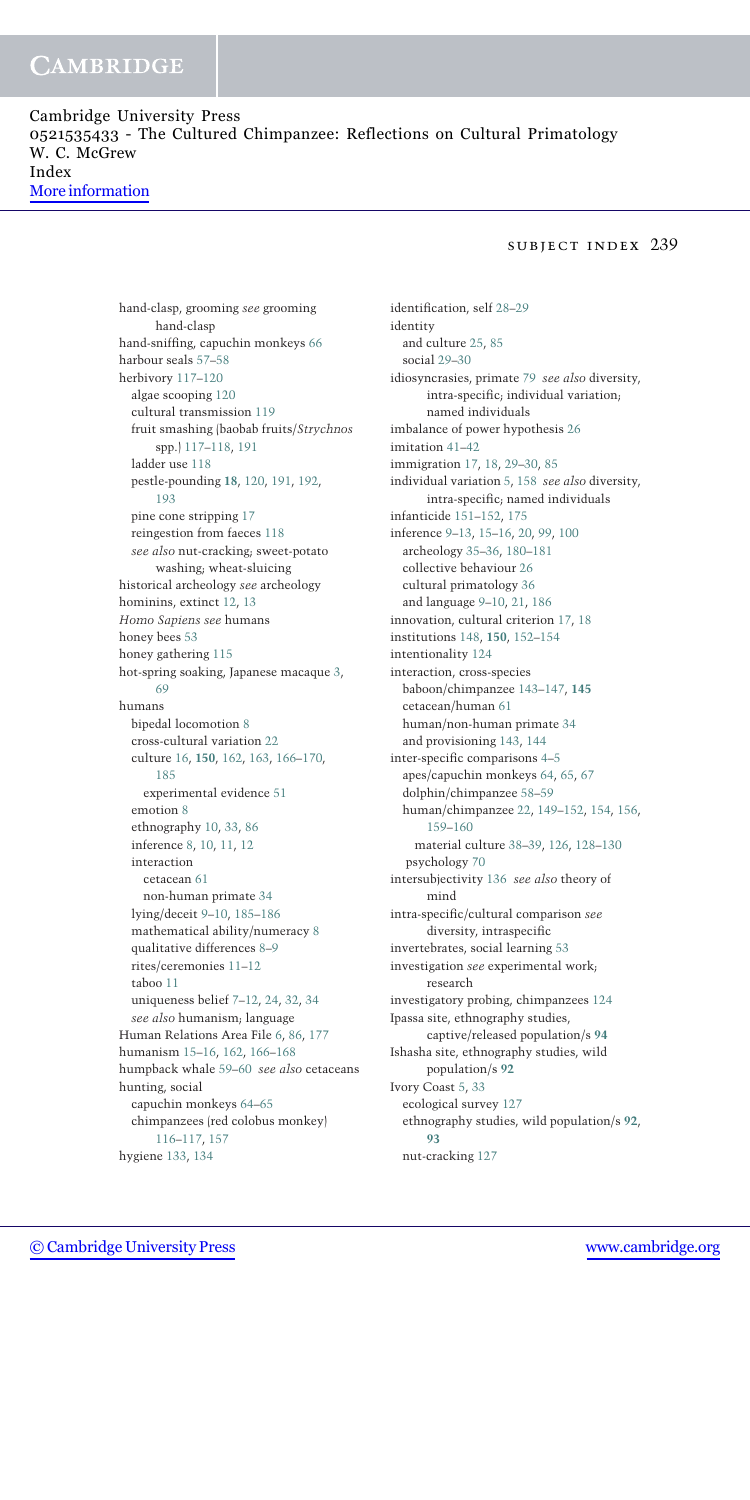Cambridge University Press 0521535433 - The Cultured Chimpanzee: Reflections on Cultural Primatology W. C. McGrew Index [More information](http://www.cambridge.org/0521535433)

#### subject index 239

hand-clasp, grooming *see* grooming hand-clasp hand-sniffing, capuchin monkeys 66 harbour seals 57–58 herbivory 117–120 algae scooping 120 cultural transmission 119 fruit smashing (baobab fruits/*Strychnos* spp.) 117–118, 191 ladder use 118 pestle-pounding **18**, 120, 191, 192, 193 pine cone stripping 17 reingestion from faeces 118 *see also* nut-cracking; sweet-potato washing; wheat-sluicing historical archeology *see* archeology hominins, extinct 12, 13 *Homo Sapiens see* humans honey bees 53 honey gathering 115 hot-spring soaking, Japanese macaque 3, 69 humans bipedal locomotion 8 cross-cultural variation 22 culture 16, **150**, 162, 163, 166–170, 185 experimental evidence 51 emotion 8 ethnography 10, 33, 86 inference 8, 10, 11, 12 interaction cetacean 61 non-human primate 34 lying/deceit 9–10, 185–186 mathematical ability/numeracy 8 qualitative differences 8–9 rites/ceremonies 11–12 taboo 11 uniqueness belief 7–12, 24, 32, 34 *see also* humanism; language Human Relations Area File 6, 86, 177 humanism 15–16, 162, 166–168 humpback whale 59–60 *see also* cetaceans hunting, social capuchin monkeys 64–65 chimpanzees (red colobus monkey) 116–117, 157 hygiene 133, 134

identification, self 28–29 identity and culture 25, 85 social 29–30 idiosyncrasies, primate 79 *see also* diversity, intra-specific; individual variation; named individuals imbalance of power hypothesis 26 imitation 41–42 immigration 17, 18, 29–30, 85 individual variation 5, 158 *see also* diversity, intra-specific; named individuals infanticide 151–152, 175 inference 9–13, 15–16, 20, 99, 100 archeology 35–36, 180–181 collective behaviour 26 cultural primatology 36 and language 9–10, 21, 186 innovation, cultural criterion 17, 18 institutions 148, **150**, 152–154 intentionality 124 interaction, cross-species baboon/chimpanzee 143–147, **145** cetacean/human 61 human/non-human primate 34 and provisioning 143, 144 inter-specific comparisons 4–5 apes/capuchin monkeys 64, 65, 67 dolphin/chimpanzee 58–59 human/chimpanzee 22, 149–152, 154, 156, 159–160 material culture 38–39, 126, 128–130 psychology 70 intersubjectivity 136 *see also* theory of mind intra-specific/cultural comparison *see* diversity, intraspecific invertebrates, social learning 53 investigation *see* experimental work; research investigatory probing, chimpanzees 124 Ipassa site, ethnography studies, captive/released population/s **94** Ishasha site, ethnography studies, wild population/s **92** Ivory Coast 5, 33 ecological survey 127 ethnography studies, wild population/s **92**, **93** nut-cracking 127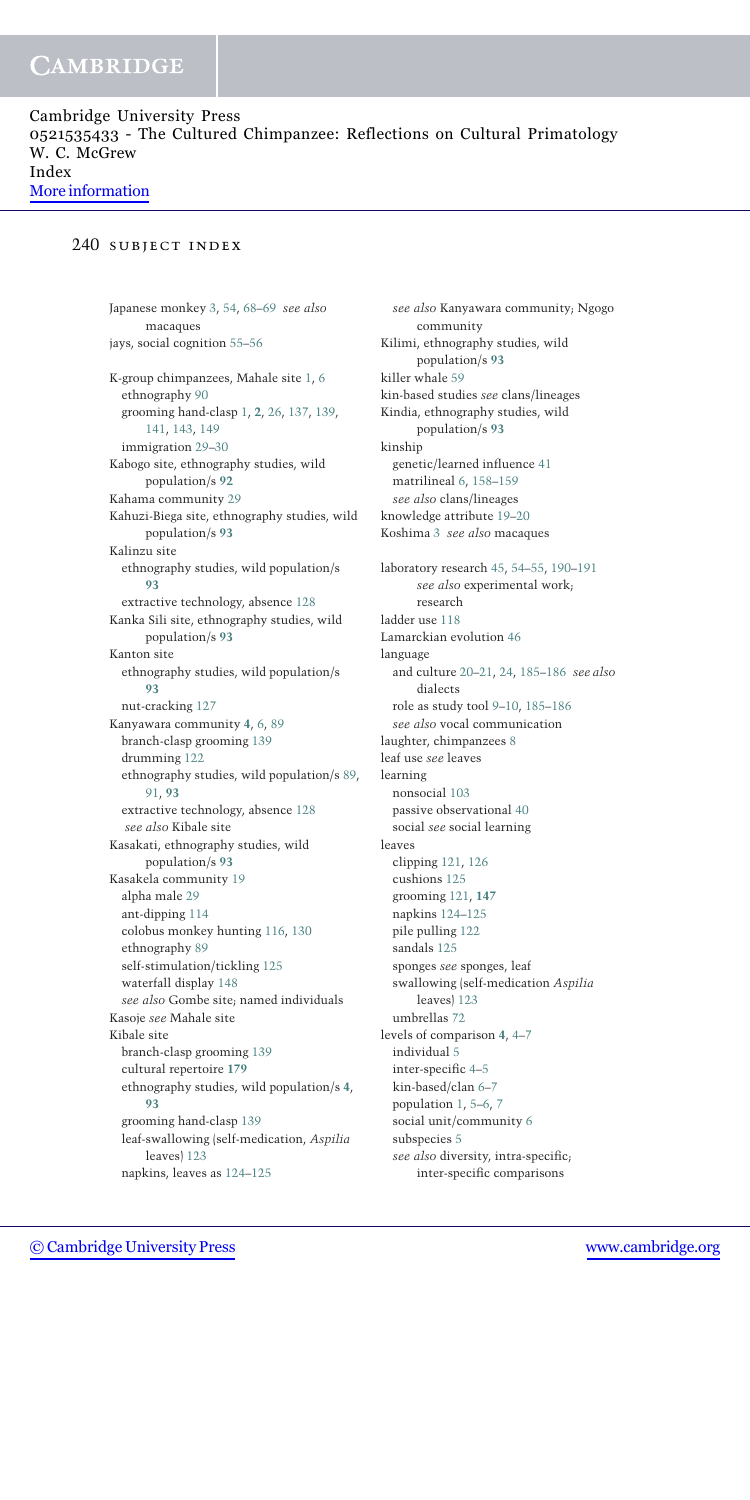### 240 SUBJECT INDEX

Japanese monkey 3, 54, 68–69 *see also* macaques jays, social cognition 55–56 K-group chimpanzees, Mahale site 1, 6 ethnography 90 grooming hand-clasp 1, **2**, 26, 137, 139, 141, 143, 149 immigration 29–30 Kabogo site, ethnography studies, wild population/s **92** Kahama community 29 Kahuzi-Biega site, ethnography studies, wild population/s **93** Kalinzu site ethnography studies, wild population/s **93** extractive technology, absence 128 Kanka Sili site, ethnography studies, wild population/s **93** Kanton site ethnography studies, wild population/s **93** nut-cracking 127 Kanyawara community **4**, 6, 89 branch-clasp grooming 139 drumming 122 ethnography studies, wild population/s 89, 91, **93** extractive technology, absence 128 *see also* Kibale site Kasakati, ethnography studies, wild population/s **93** Kasakela community 19 alpha male 29 ant-dipping 114 colobus monkey hunting 116, 130 ethnography 89 self-stimulation/tickling 125 waterfall display 148 *see also* Gombe site; named individuals Kasoje *see* Mahale site Kibale site branch-clasp grooming 139 cultural repertoire **179** ethnography studies, wild population/s **4**, **93** grooming hand-clasp 139 leaf-swallowing (self-medication, *Aspilia* leaves) 123 napkins, leaves as 124–125

*see also* Kanyawara community; Ngogo community Kilimi, ethnography studies, wild population/s **93** killer whale 59 kin-based studies *see* clans/lineages Kindia, ethnography studies, wild population/s **93** kinship genetic/learned influence 41 matrilineal 6, 158–159 *see also* clans/lineages knowledge attribute 19–20 Koshima 3 *see also* macaques laboratory research 45, 54–55, 190–191 *see also* experimental work; research ladder use 118 Lamarckian evolution 46 language and culture 20–21, 24, 185–186 *see also* dialects role as study tool 9–10, 185–186 *see also* vocal communication laughter, chimpanzees 8 leaf use *see* leaves learning nonsocial 103 passive observational 40 social *see* social learning leaves clipping 121, 126 cushions 125 grooming 121, **147** napkins 124–125 pile pulling 122 sandals 125 sponges *see* sponges, leaf swallowing (self-medication *Aspilia* leaves) 123 umbrellas 72 levels of comparison **4**, 4–7 individual 5 inter-specific 4–5 kin-based/clan 6–7 population 1, 5–6, 7 social unit/community 6 subspecies 5 *see also* diversity, intra-specific; inter-specific comparisons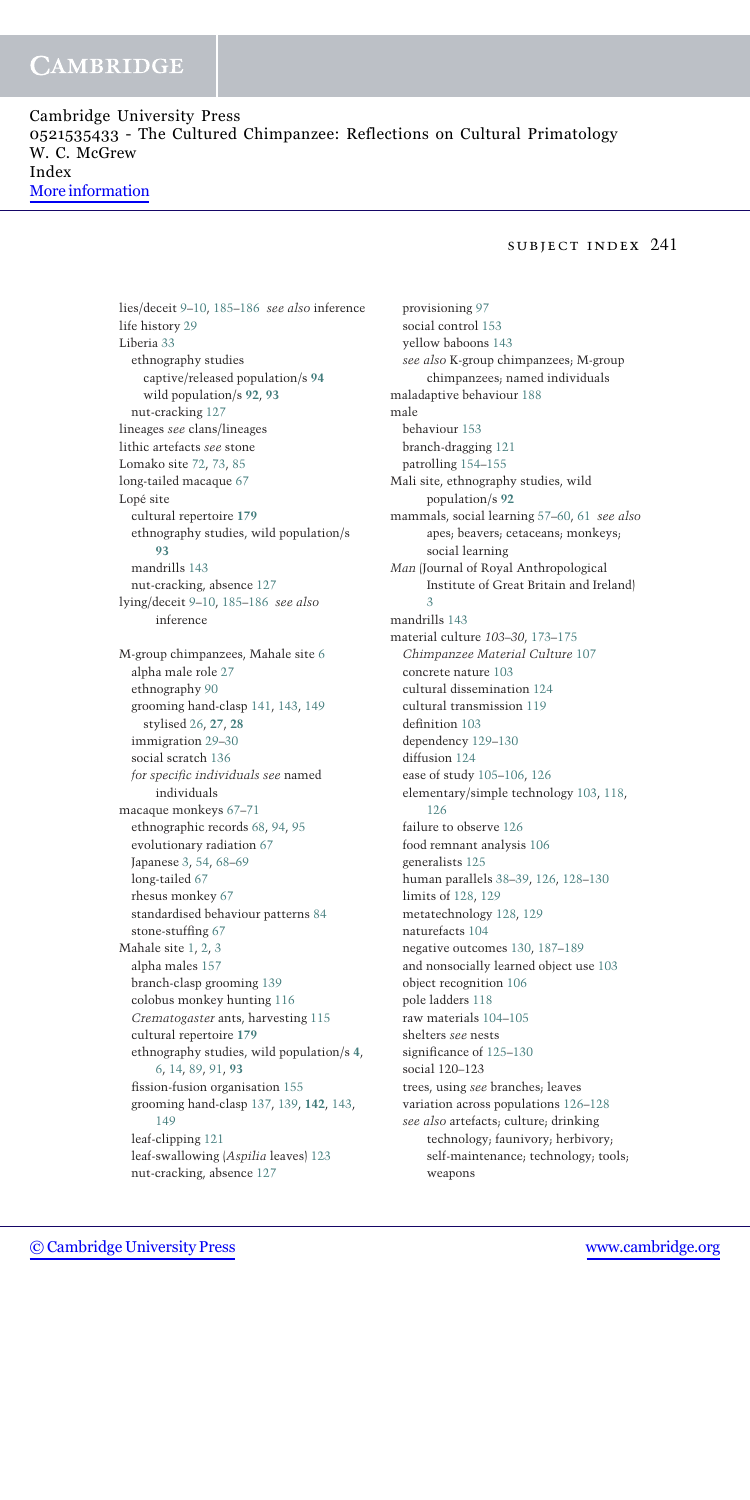Cambridge University Press 0521535433 - The Cultured Chimpanzee: Reflections on Cultural Primatology W. C. McGrew Index [More information](http://www.cambridge.org/0521535433)

#### subject index 241

lies/deceit 9–10, 185–186 *see also* inference life history 29 Liberia 33 ethnography studies captive/released population/s **94** wild population/s **92**, **93** nut-cracking 127 lineages *see* clans/lineages lithic artefacts *see* stone Lomako site 72, 73, 85 long-tailed macaque 67 Lopé site cultural repertoire **179** ethnography studies, wild population/s **93** mandrills 143 nut-cracking, absence 127 lying/deceit 9–10, 185–186 *see also* inference M-group chimpanzees, Mahale site 6 alpha male role 27 ethnography 90 grooming hand-clasp 141, 143, 149 stylised 26, **27**, **28** immigration 29–30 social scratch 136 *for specific individuals see* named individuals macaque monkeys 67–71 ethnographic records 68, 94, 95 evolutionary radiation 67 Japanese 3, 54, 68–69 long-tailed 67 rhesus monkey 67 standardised behaviour patterns 84 stone-stuffing 67 Mahale site 1, 2, 3 alpha males 157 branch-clasp grooming 139 colobus monkey hunting 116 *Crematogaster* ants, harvesting 115 cultural repertoire **179** ethnography studies, wild population/s **4**, 6, 14, 89, 91, **93** fission-fusion organisation 155 grooming hand-clasp 137, 139, **142**, 143, 149 leaf-clipping 121 leaf-swallowing (*Aspilia* leaves) 123 nut-cracking, absence 127

provisioning 97 social control 153 yellow baboons 143 *see also* K-group chimpanzees; M-group chimpanzees; named individuals maladaptive behaviour 188 male behaviour 153 branch-dragging 121 patrolling 154–155 Mali site, ethnography studies, wild population/s **92** mammals, social learning 57–60, 61 *see also* apes; beavers; cetaceans; monkeys; social learning *Man* (Journal of Royal Anthropological Institute of Great Britain and Ireland) 3 mandrills 143 material culture *103–30*, 173–175 *Chimpanzee Material Culture* 107 concrete nature 103 cultural dissemination 124 cultural transmission 119 definition 103 dependency 129–130 diffusion 124 ease of study 105–106, 126 elementary/simple technology 103, 118, 126 failure to observe 126 food remnant analysis 106 generalists 125 human parallels 38–39, 126, 128–130 limits of 128, 129 metatechnology 128, 129 naturefacts 104 negative outcomes 130, 187–189 and nonsocially learned object use 103 object recognition 106 pole ladders 118 raw materials 104–105 shelters *see* nests significance of 125–130 social 120–123 trees, using *see* branches; leaves variation across populations 126–128 *see also* artefacts; culture; drinking technology; faunivory; herbivory; self-maintenance; technology; tools; weapons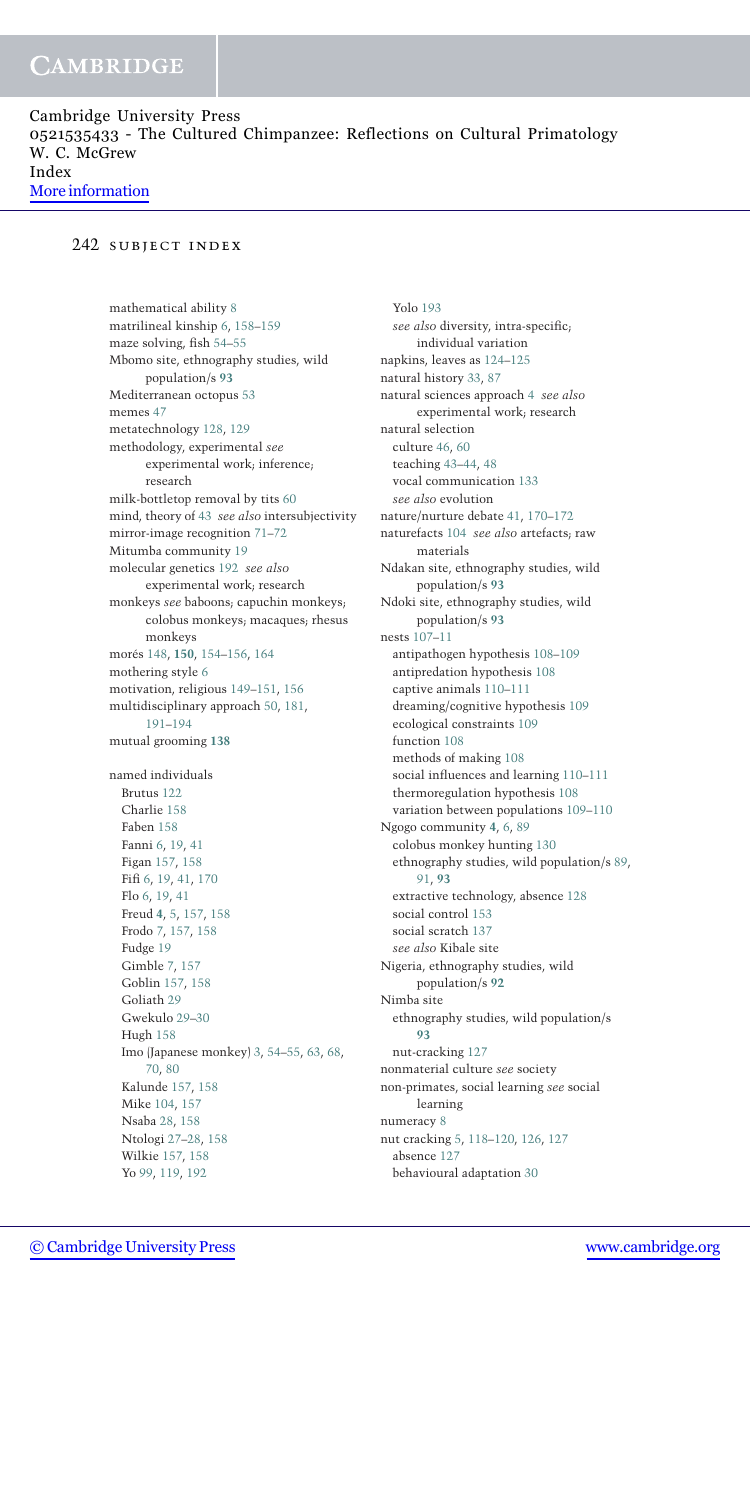#### 242 SUBJECT INDEX

mathematical ability 8 matrilineal kinship 6, 158–159 maze solving, fish 54–55 Mbomo site, ethnography studies, wild population/s **93** Mediterranean octopus 53 memes 47 metatechnology 128, 129 methodology, experimental *see* experimental work; inference; research milk-bottletop removal by tits 60 mind, theory of 43 *see also* intersubjectivity mirror-image recognition 71–72 Mitumba community 19 molecular genetics 192 *see also* experimental work; research monkeys *see* baboons; capuchin monkeys; colobus monkeys; macaques; rhesus monkeys morés 148, 150, 154–156, 164 mothering style 6 motivation, religious 149–151, 156 multidisciplinary approach 50, 181, 191–194 mutual grooming **138** named individuals Brutus 122 Charlie 158 Faben 158 Fanni 6, 19, 41 Figan 157, 158 Fifi 6, 19, 41, 170 Flo 6, 19, 41 Freud **4**, 5, 157, 158 Frodo 7, 157, 158 Fudge 19 Gimble 7, 157 Goblin 157, 158 Goliath 29 Gwekulo 29–30 Hugh 158 Imo (Japanese monkey) 3, 54–55, 63, 68, 70, 80 Kalunde 157, 158 Mike 104, 157 Nsaba 28, 158 Ntologi 27–28, 158 Wilkie 157, 158 Yo 99, 119, 192

Yolo 193 *see also* diversity, intra-specific; individual variation napkins, leaves as 124–125 natural history 33, 87 natural sciences approach 4 *see also* experimental work; research natural selection culture 46, 60 teaching 43–44, 48 vocal communication 133 *see also* evolution nature/nurture debate 41, 170–172 naturefacts 104 *see also* artefacts; raw materials Ndakan site, ethnography studies, wild population/s **93** Ndoki site, ethnography studies, wild population/s **93** nests 107–11 antipathogen hypothesis 108–109 antipredation hypothesis 108 captive animals 110–111 dreaming/cognitive hypothesis 109 ecological constraints 109 function 108 methods of making 108 social influences and learning 110–111 thermoregulation hypothesis 108 variation between populations 109–110 Ngogo community **4**, 6, 89 colobus monkey hunting 130 ethnography studies, wild population/s 89, 91, **93** extractive technology, absence 128 social control 153 social scratch 137 *see also* Kibale site Nigeria, ethnography studies, wild population/s **92** Nimba site ethnography studies, wild population/s **93** nut-cracking 127 nonmaterial culture *see* society non-primates, social learning *see* social learning numeracy 8 nut cracking 5, 118–120, 126, 127 absence 127 behavioural adaptation 30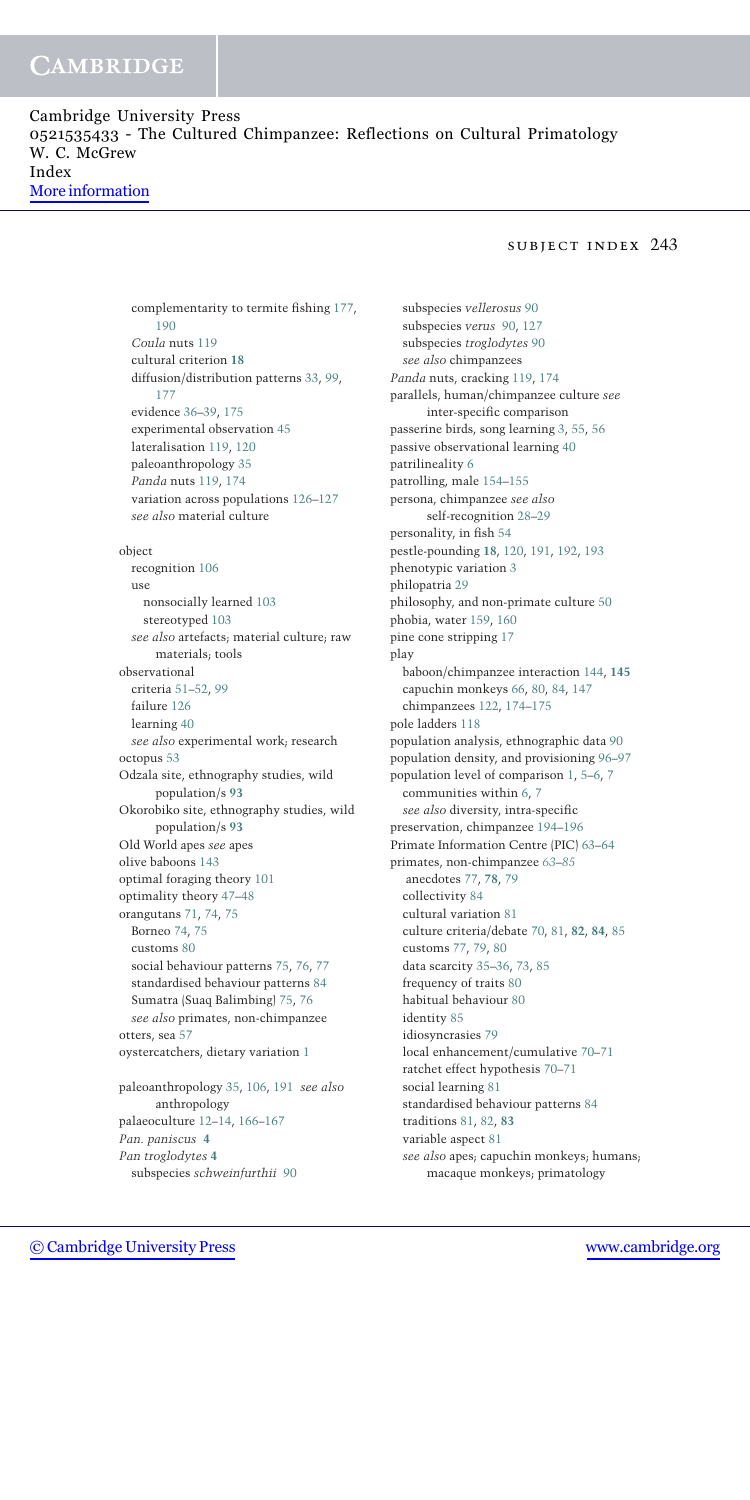Cambridge University Press 0521535433 - The Cultured Chimpanzee: Reflections on Cultural Primatology W. C. McGrew Index [More information](http://www.cambridge.org/0521535433)

#### subject index 243

complementarity to termite fishing 177, 190 *Coula* nuts 119 cultural criterion **18** diffusion/distribution patterns 33, 99, 177 evidence 36–39, 175 experimental observation 45 lateralisation 119, 120 paleoanthropology 35 *Panda* nuts 119, 174 variation across populations 126–127 *see also* material culture object recognition 106 use nonsocially learned 103 stereotyped 103 *see also* artefacts; material culture; raw materials; tools observational criteria 51–52, 99 failure 126 learning 40 *see also* experimental work; research octopus 53 Odzala site, ethnography studies, wild population/s **93** Okorobiko site, ethnography studies, wild population/s **93** Old World apes *see* apes olive baboons 143 optimal foraging theory 101 optimality theory 47–48 orangutans 71, 74, 75 Borneo 74, 75 customs 80 social behaviour patterns 75, 76, 77 standardised behaviour patterns 84 Sumatra (Suaq Balimbing) 75, 76 *see also* primates, non-chimpanzee otters, sea 57 oystercatchers, dietary variation 1 paleoanthropology 35, 106, 191 *see also* anthropology palaeoculture 12–14, 166–167 *Pan. paniscus* **4**

*Pan troglodytes* **4** subspecies *schweinfurthii* 90

subspecies *vellerosus* 90 subspecies *verus* 90, 127 subspecies *troglodytes* 90 *see also* chimpanzees *Panda* nuts, cracking 119, 174 parallels, human/chimpanzee culture *see* inter-specific comparison passerine birds, song learning 3, 55, 56 passive observational learning 40 patrilineality 6 patrolling, male 154–155 persona, chimpanzee *see also* self-recognition 28–29 personality, in fish 54 pestle-pounding **18**, 120, 191, 192, 193 phenotypic variation 3 philopatria 29 philosophy, and non-primate culture 50 phobia, water 159, 160 pine cone stripping 17 play baboon/chimpanzee interaction 144, **145** capuchin monkeys 66, 80, 84, 147 chimpanzees 122, 174–175 pole ladders 118 population analysis, ethnographic data 90 population density, and provisioning 96–97 population level of comparison 1, 5–6, 7 communities within 6, 7 *see also* diversity, intra-specific preservation, chimpanzee 194–196 Primate Information Centre (PIC) 63–64 primates, non-chimpanzee *63–85* anecdotes 77, **78**, 79 collectivity 84 cultural variation 81 culture criteria/debate 70, 81, **82**, **84**, 85 customs 77, 79, 80 data scarcity 35–36, 73, 85 frequency of traits 80 habitual behaviour 80 identity 85 idiosyncrasies 79 local enhancement/cumulative 70–71 ratchet effect hypothesis 70–71 social learning 81 standardised behaviour patterns 84 traditions 81, 82, **83** variable aspect 81 *see also* apes; capuchin monkeys; humans; macaque monkeys; primatology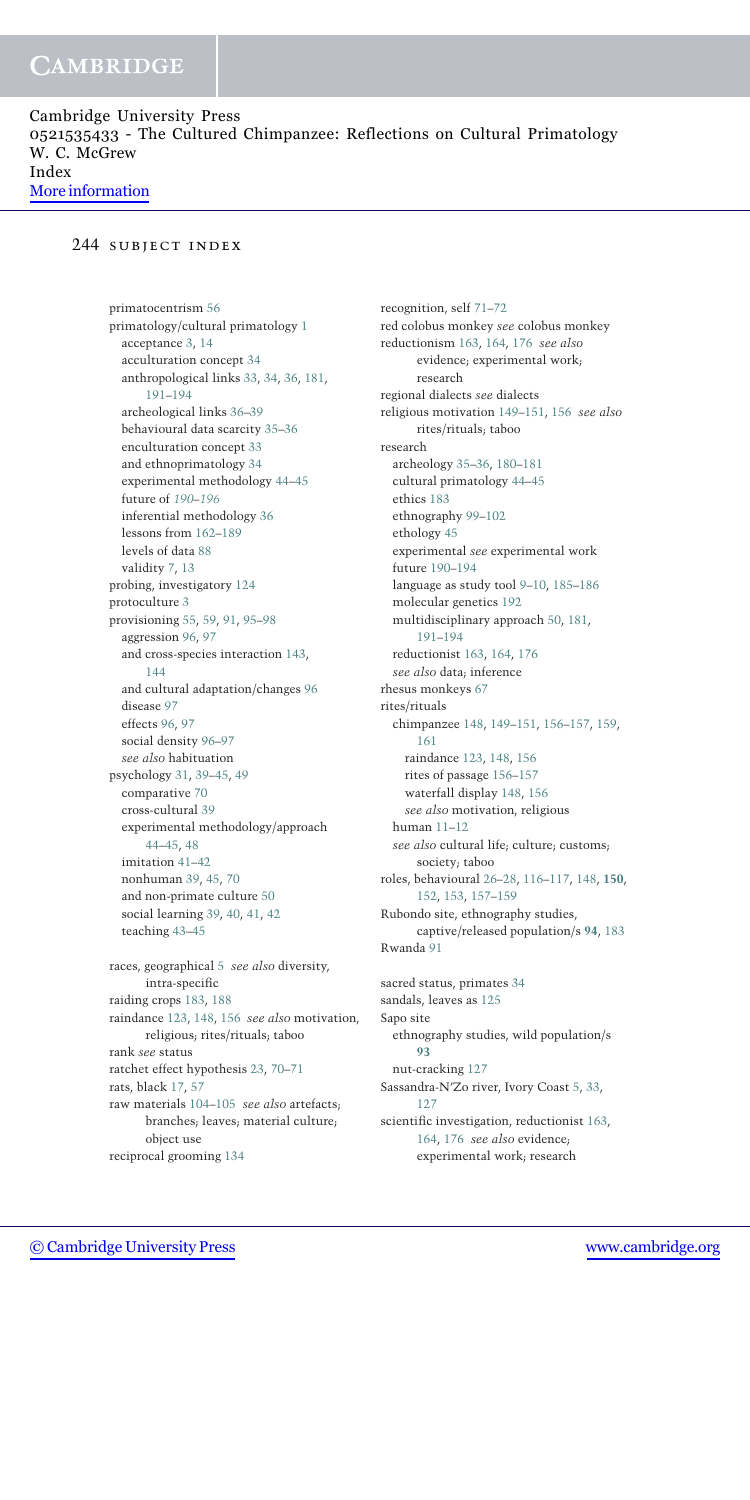#### 244 SUBJECT INDEX

primatocentrism 56 primatology/cultural primatology 1 acceptance 3, 14 acculturation concept 34 anthropological links 33, 34, 36, 181, 191–194 archeological links 36–39 behavioural data scarcity 35–36 enculturation concept 33 and ethnoprimatology 34 experimental methodology 44–45 future of *190–196* inferential methodology 36 lessons from 162–189 levels of data 88 validity 7, 13 probing, investigatory 124 protoculture 3 provisioning 55, 59, 91, 95–98 aggression 96, 97 and cross-species interaction 143, 144 and cultural adaptation/changes 96 disease 97 effects 96, 97 social density 96–97 *see also* habituation psychology 31, 39–45, 49 comparative 70 cross-cultural 39 experimental methodology/approach 44–45, 48 imitation 41–42 nonhuman 39, 45, 70 and non-primate culture 50 social learning 39, 40, 41, 42 teaching 43–45 races, geographical 5 *see also* diversity, intra-specific raiding crops 183, 188 raindance 123, 148, 156 *see also* motivation,

religious; rites/rituals; taboo rank *see* status ratchet effect hypothesis 23, 70–71 rats, black 17, 57 raw materials 104–105 *see also* artefacts; branches; leaves; material culture; object use reciprocal grooming 134

recognition, self 71–72 red colobus monkey *see* colobus monkey reductionism 163, 164, 176 *see also* evidence; experimental work; research regional dialects *see* dialects religious motivation 149–151, 156 *see also* rites/rituals; taboo research archeology 35–36, 180–181 cultural primatology 44–45 ethics 183 ethnography 99–102 ethology 45 experimental *see* experimental work future 190–194 language as study tool 9–10, 185–186 molecular genetics 192 multidisciplinary approach 50, 181, 191–194 reductionist 163, 164, 176 *see also* data; inference rhesus monkeys 67 rites/rituals chimpanzee 148, 149–151, 156–157, 159, 161 raindance 123, 148, 156 rites of passage 156–157 waterfall display 148, 156 *see also* motivation, religious human 11–12 *see also* cultural life; culture; customs; society; taboo roles, behavioural 26–28, 116–117, 148, **150**, 152, 153, 157–159 Rubondo site, ethnography studies, captive/released population/s **94**, 183 Rwanda 91 sacred status, primates 34

sandals, leaves as 125 Sapo site ethnography studies, wild population/s **93** nut-cracking 127 Sassandra-N'Zo river, Ivory Coast 5, 33, 127 scientific investigation, reductionist 163, 164, 176 *see also* evidence; experimental work; research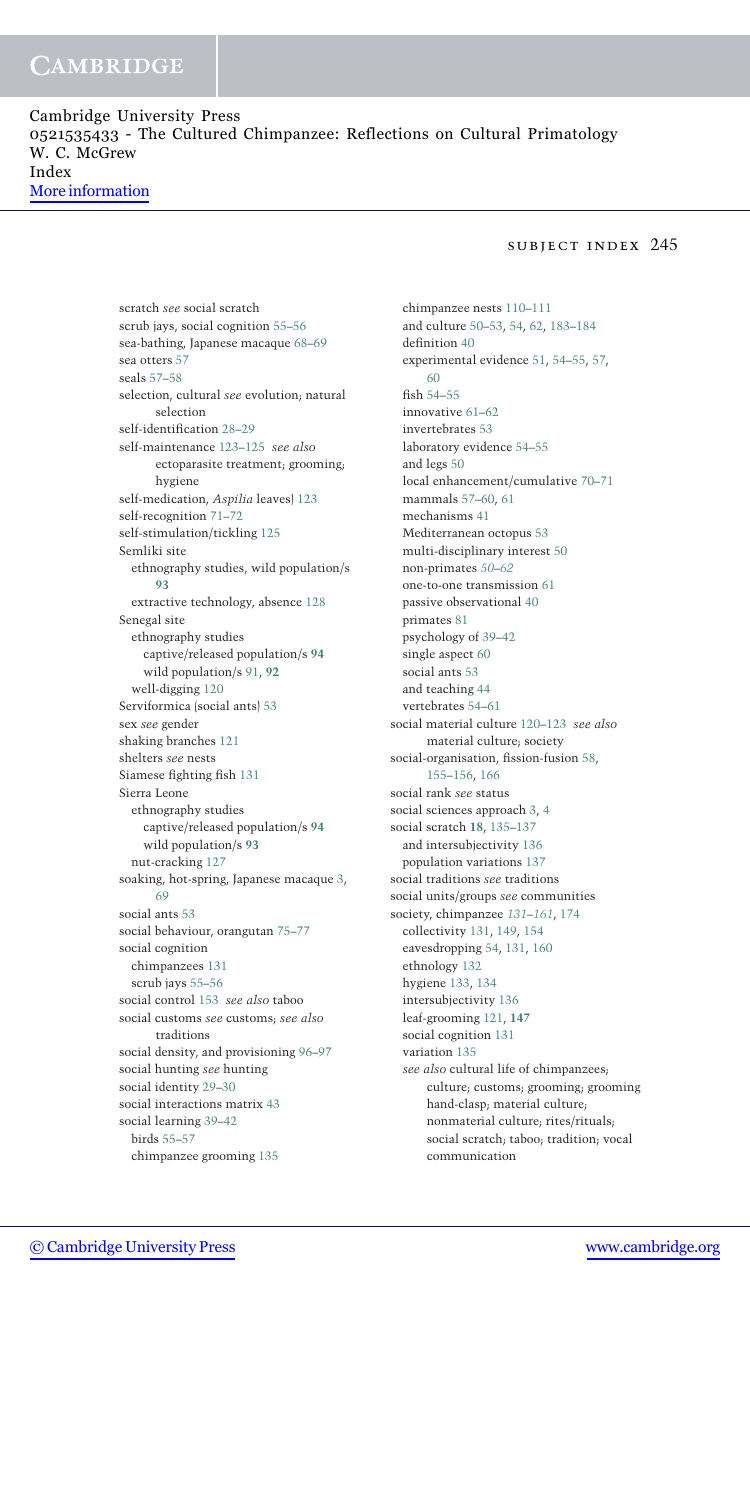Cambridge University Press 0521535433 - The Cultured Chimpanzee: Reflections on Cultural Primatology W. C. McGrew Index [More information](http://www.cambridge.org/0521535433)

#### subject index 245

scratch *see* social scratch scrub jays, social cognition 55–56 sea-bathing, Japanese macaque 68–69 sea otters 57 seals 57–58 selection, cultural *see* evolution; natural selection self-identification 28–29 self-maintenance 123–125 *see also* ectoparasite treatment; grooming; hygiene self-medication, *Aspilia* leaves) 123 self-recognition 71–72 self-stimulation/tickling 125 Semliki site ethnography studies, wild population/s **93** extractive technology, absence 128 Senegal site ethnography studies captive/released population/s **94** wild population/s 91, **92** well-digging 120 Serviformica (social ants) 53 sex *see* gender shaking branches 121 shelters *see* nests Siamese fighting fish 131 Sierra Leone ethnography studies captive/released population/s **94** wild population/s **93** nut-cracking 127 soaking, hot-spring, Japanese macaque 3, 69 social ants 53 social behaviour, orangutan 75–77 social cognition chimpanzees 131 scrub jays 55–56 social control 153 *see also* taboo social customs *see* customs; *see also* traditions social density, and provisioning 96–97 social hunting *see* hunting social identity 29–30 social interactions matrix 43 social learning 39–42 birds 55–57 chimpanzee grooming 135

chimpanzee nests 110–111 and culture 50–53, 54, 62, 183–184 definition 40 experimental evidence 51, 54–55, 57, 60 fish 54–55 innovative 61–62 invertebrates 53 laboratory evidence 54–55 and legs 50 local enhancement/cumulative 70–71 mammals 57–60, 61 mechanisms 41 Mediterranean octopus 53 multi-disciplinary interest 50 non-primates *50–62* one-to-one transmission 61 passive observational 40 primates 81 psychology of 39–42 single aspect 60 social ants 53 and teaching 44 vertebrates 54–61 social material culture 120–123 *see also* material culture; society social-organisation, fission-fusion 58, 155–156, 166 social rank *see* status social sciences approach 3, 4 social scratch **18**, 135–137 and intersubjectivity 136 population variations 137 social traditions *see* traditions social units/groups *see* communities society, chimpanzee *131–161*, 174 collectivity 131, 149, 154 eavesdropping 54, 131, 160 ethnology 132 hygiene 133, 134 intersubjectivity 136 leaf-grooming 121, **147** social cognition 131 variation 135 *see also* cultural life of chimpanzees; culture; customs; grooming; grooming hand-clasp; material culture; nonmaterial culture; rites/rituals; social scratch; taboo; tradition; vocal communication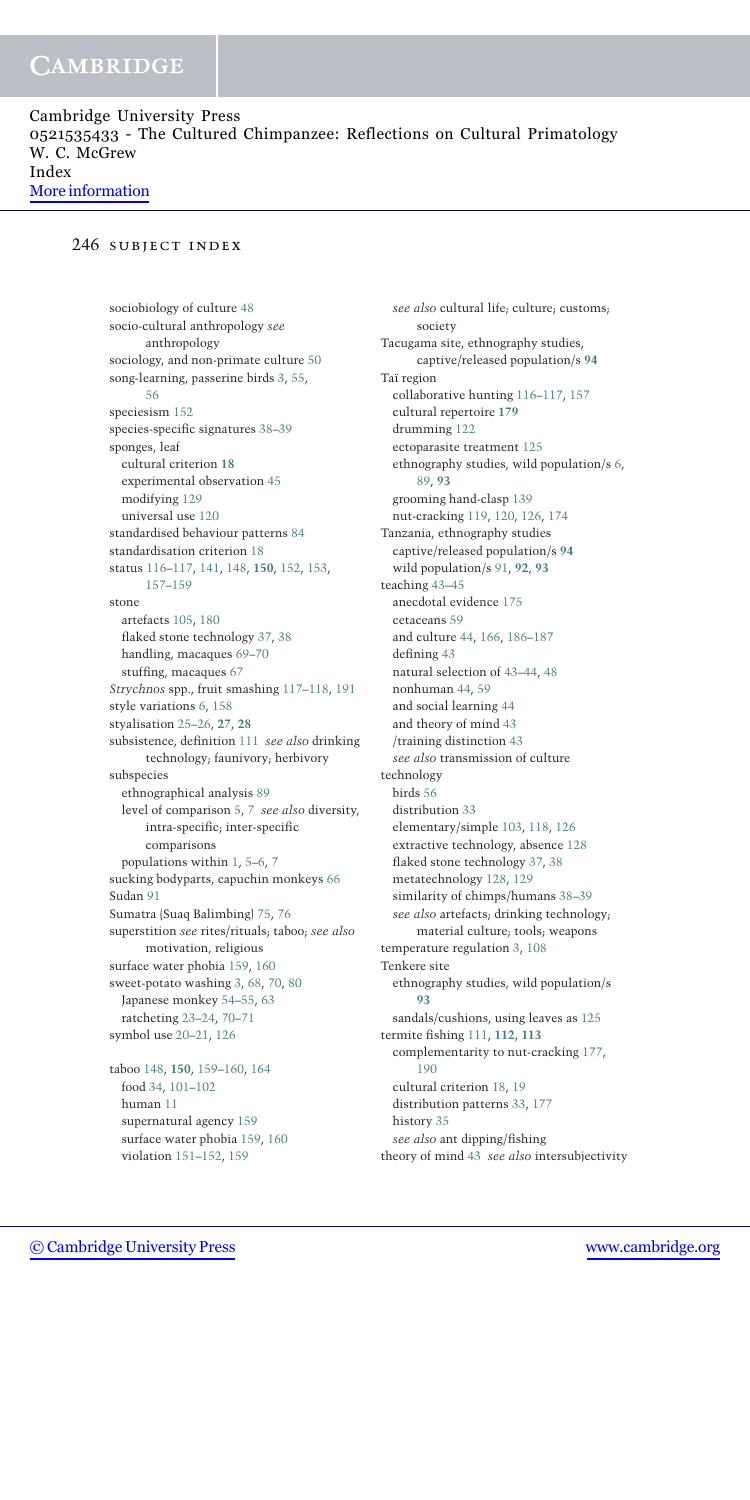#### 246 SUBJECT INDEX

sociobiology of culture 48 socio-cultural anthropology *see* anthropology sociology, and non-primate culture 50 song-learning, passerine birds 3, 55, 56 speciesism 152 species-specific signatures 38–39 sponges, leaf cultural criterion **18** experimental observation 45 modifying 129 universal use 120 standardised behaviour patterns 84 standardisation criterion 18 status 116–117, 141, 148, **150**, 152, 153, 157–159 stone artefacts 105, 180 flaked stone technology 37, 38 handling, macaques 69–70 stuffing, macaques 67 *Strychnos* spp., fruit smashing 117–118, 191 style variations 6, 158 styalisation 25–26, **27**, **28** subsistence, definition 111 *see also* drinking technology; faunivory; herbivory subspecies ethnographical analysis 89 level of comparison 5, 7 *see also* diversity, intra-specific; inter-specific comparisons populations within 1, 5–6, 7 sucking bodyparts, capuchin monkeys 66 Sudan 91 Sumatra (Suaq Balimbing) 75, 76 superstition *see* rites/rituals; taboo; *see also* motivation, religious surface water phobia 159, 160 sweet-potato washing 3, 68, 70, 80 Japanese monkey 54–55, 63 ratcheting 23–24, 70–71 symbol use 20–21, 126 taboo 148, **150**, 159–160, 164 food 34, 101–102 human 11 supernatural agency 159

*see also* cultural life; culture; customs; society Tacugama site, ethnography studies, captive/released population/s **94** Taï region collaborative hunting 116–117, 157 cultural repertoire **179** drumming 122 ectoparasite treatment 125 ethnography studies, wild population/s 6, 89, **93** grooming hand-clasp 139 nut-cracking 119, 120, 126, 174 Tanzania, ethnography studies captive/released population/s **94** wild population/s 91, **92**, **93** teaching 43–45 anecdotal evidence 175 cetaceans 59 and culture 44, 166, 186–187 defining 43 natural selection of 43–44, 48 nonhuman 44, 59 and social learning 44 and theory of mind 43 /training distinction 43 *see also* transmission of culture technology birds 56 distribution 33 elementary/simple 103, 118, 126 extractive technology, absence 128 flaked stone technology 37, 38 metatechnology 128, 129 similarity of chimps/humans 38–39 *see also* artefacts; drinking technology; material culture; tools; weapons temperature regulation 3, 108 Tenkere site ethnography studies, wild population/s **93** sandals/cushions, using leaves as 125 termite fishing 111, **112**, **113** complementarity to nut-cracking 177, 190 cultural criterion 18, 19 distribution patterns 33, 177 history 35 *see also* ant dipping/fishing theory of mind 43 *see also* intersubjectivity

surface water phobia 159, 160 violation 151–152, 159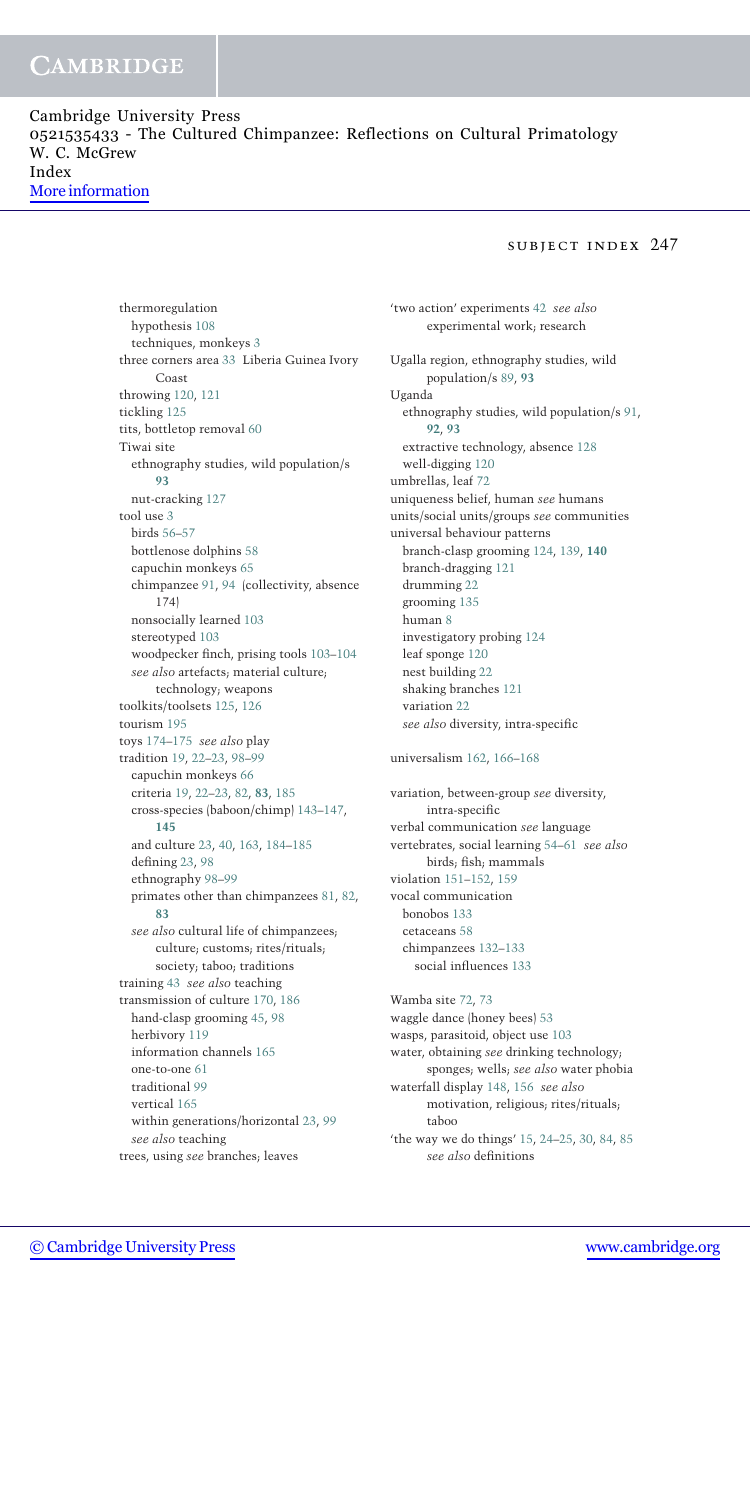Cambridge University Press 0521535433 - The Cultured Chimpanzee: Reflections on Cultural Primatology W. C. McGrew Index [More information](http://www.cambridge.org/0521535433)

#### subject index 247

thermoregulation hypothesis 108 techniques, monkeys 3 three corners area 33 Liberia Guinea Ivory Coast throwing 120, 121 tickling 125 tits, bottletop removal 60 Tiwai site ethnography studies, wild population/s **93** nut-cracking 127 tool use 3 birds 56–57 bottlenose dolphins 58 capuchin monkeys 65 chimpanzee 91, 94 (collectivity, absence 174) nonsocially learned 103 stereotyped 103 woodpecker finch, prising tools 103–104 *see also* artefacts; material culture; technology; weapons toolkits/toolsets 125, 126 tourism 195 toys 174–175 *see also* play tradition 19, 22–23, 98–99 capuchin monkeys 66 criteria 19, 22–23, 82, **83**, 185 cross-species (baboon/chimp) 143–147, **145** and culture 23, 40, 163, 184–185 defining 23, 98 ethnography 98–99 primates other than chimpanzees 81, 82, **83** *see also* cultural life of chimpanzees; culture; customs; rites/rituals; society; taboo; traditions training 43 *see also* teaching transmission of culture 170, 186 hand-clasp grooming 45, 98 herbivory 119 information channels 165 one-to-one 61 traditional 99 vertical 165 within generations/horizontal 23, 99 *see also* teaching trees, using *see* branches; leaves

Ugalla region, ethnography studies, wild population/s 89, **93** Uganda ethnography studies, wild population/s 91, **92**, **93** extractive technology, absence 128 well-digging 120 umbrellas, leaf 72 uniqueness belief, human *see* humans units/social units/groups *see* communities universal behaviour patterns branch-clasp grooming 124, 139, **140** branch-dragging 121 drumming 22 grooming 135 human 8 investigatory probing 124 leaf sponge 120 nest building 22 shaking branches 121 variation 22 *see also* diversity, intra-specific

'two action' experiments 42 *see also* experimental work; research

```
universalism 162, 166–168
```
variation, between-group *see* diversity, intra-specific verbal communication *see* language vertebrates, social learning 54–61 *see also* birds; fish; mammals violation 151–152, 159 vocal communication bonobos 133 cetaceans 58 chimpanzees 132–133 social influences 133

Wamba site 72, 73 waggle dance (honey bees) 53 wasps, parasitoid, object use 103 water, obtaining *see* drinking technology; sponges; wells; *see also* water phobia waterfall display 148, 156 *see also* motivation, religious; rites/rituals; taboo 'the way we do things' 15, 24–25, 30, 84, 85 *see also* definitions